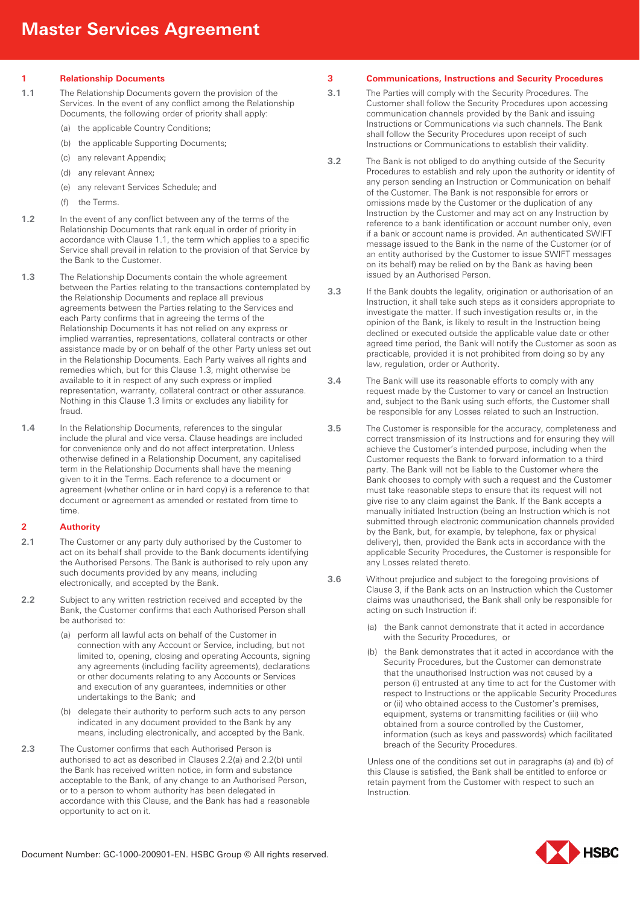**1 Relationship Documents**

- **1.1** The Relationship Documents govern the provision of the Services. In the event of any conflict among the Relationship Documents, the following order of priority shall apply:
	- (a) the applicable Country Conditions;
	- (b) the applicable Supporting Documents;
	- (c) any relevant Appendix;
	- (d) any relevant Annex;
	- (e) any relevant Services Schedule; and
	- (f) the Terms.
- **1.2** In the event of any conflict between any of the terms of the Relationship Documents that rank equal in order of priority in accordance with Clause 1.1, the term which applies to a specific Service shall prevail in relation to the provision of that Service by the Bank to the Customer.
- **1.3** The Relationship Documents contain the whole agreement between the Parties relating to the transactions contemplated by the Relationship Documents and replace all previous agreements between the Parties relating to the Services and each Party confirms that in agreeing the terms of the Relationship Documents it has not relied on any express or implied warranties, representations, collateral contracts or other assistance made by or on behalf of the other Party unless set out in the Relationship Documents. Each Party waives all rights and remedies which, but for this Clause 1.3, might otherwise be available to it in respect of any such express or implied representation, warranty, collateral contract or other assurance. Nothing in this Clause 1.3 limits or excludes any liability for fraud.
- 1.4 In the Relationship Documents, references to the singular include the plural and vice versa. Clause headings are included for convenience only and do not affect interpretation. Unless otherwise defined in a Relationship Document, any capitalised term in the Relationship Documents shall have the meaning given to it in the Terms. Each reference to a document or agreement (whether online or in hard copy) is a reference to that document or agreement as amended or restated from time to time.

## **2 Authority**

- **2.1** The Customer or any party duly authorised by the Customer to act on its behalf shall provide to the Bank documents identifying the Authorised Persons. The Bank is authorised to rely upon any such documents provided by any means, including electronically, and accepted by the Bank.
- **2.2** Subject to any written restriction received and accepted by the Bank, the Customer confirms that each Authorised Person shall be authorised to:
	- (a) perform all lawful acts on behalf of the Customer in connection with any Account or Service, including, but not limited to, opening, closing and operating Accounts, signing any agreements (including facility agreements), declarations or other documents relating to any Accounts or Services and execution of any guarantees, indemnities or other undertakings to the Bank; and
	- (b) delegate their authority to perform such acts to any person indicated in any document provided to the Bank by any means, including electronically, and accepted by the Bank.
- **2.3** The Customer confirms that each Authorised Person is authorised to act as described in Clauses 2.2(a) and 2.2(b) until the Bank has received written notice, in form and substance acceptable to the Bank, of any change to an Authorised Person, or to a person to whom authority has been delegated in accordance with this Clause, and the Bank has had a reasonable opportunity to act on it.

## **3 Communications, Instructions and Security Procedures**

- **3.1** The Parties will comply with the Security Procedures. The Customer shall follow the Security Procedures upon accessing communication channels provided by the Bank and issuing Instructions or Communications via such channels. The Bank shall follow the Security Procedures upon receipt of such Instructions or Communications to establish their validity.
- **3.2** The Bank is not obliged to do anything outside of the Security Procedures to establish and rely upon the authority or identity of any person sending an Instruction or Communication on behalf of the Customer. The Bank is not responsible for errors or omissions made by the Customer or the duplication of any Instruction by the Customer and may act on any Instruction by reference to a bank identification or account number only, even if a bank or account name is provided. An authenticated SWIFT message issued to the Bank in the name of the Customer (or of an entity authorised by the Customer to issue SWIFT messages on its behalf) may be relied on by the Bank as having been issued by an Authorised Person.
- **3.3** If the Bank doubts the legality, origination or authorisation of an Instruction, it shall take such steps as it considers appropriate to investigate the matter. If such investigation results or, in the opinion of the Bank, is likely to result in the Instruction being declined or executed outside the applicable value date or other agreed time period, the Bank will notify the Customer as soon as practicable, provided it is not prohibited from doing so by any law, regulation, order or Authority.
- **3.4** The Bank will use its reasonable efforts to comply with any request made by the Customer to vary or cancel an Instruction and, subject to the Bank using such efforts, the Customer shall be responsible for any Losses related to such an Instruction.
- **3.5** The Customer is responsible for the accuracy, completeness and correct transmission of its Instructions and for ensuring they will achieve the Customer's intended purpose, including when the Customer requests the Bank to forward information to a third party. The Bank will not be liable to the Customer where the Bank chooses to comply with such a request and the Customer must take reasonable steps to ensure that its request will not give rise to any claim against the Bank. If the Bank accepts a manually initiated Instruction (being an Instruction which is not submitted through electronic communication channels provided by the Bank, but, for example, by telephone, fax or physical delivery), then, provided the Bank acts in accordance with the applicable Security Procedures, the Customer is responsible for any Losses related thereto.
- **3.6** Without prejudice and subject to the foregoing provisions of Clause 3, if the Bank acts on an Instruction which the Customer claims was unauthorised, the Bank shall only be responsible for acting on such Instruction if:
	- (a) the Bank cannot demonstrate that it acted in accordance with the Security Procedures, or
	- (b) the Bank demonstrates that it acted in accordance with the Security Procedures, but the Customer can demonstrate that the unauthorised Instruction was not caused by a person (i) entrusted at any time to act for the Customer with respect to Instructions or the applicable Security Procedures or (ii) who obtained access to the Customer's premises, equipment, systems or transmitting facilities or (iii) who obtained from a source controlled by the Customer, information (such as keys and passwords) which facilitated breach of the Security Procedures.

Unless one of the conditions set out in paragraphs (a) and (b) of this Clause is satisfied, the Bank shall be entitled to enforce or retain payment from the Customer with respect to such an **Instruction** 

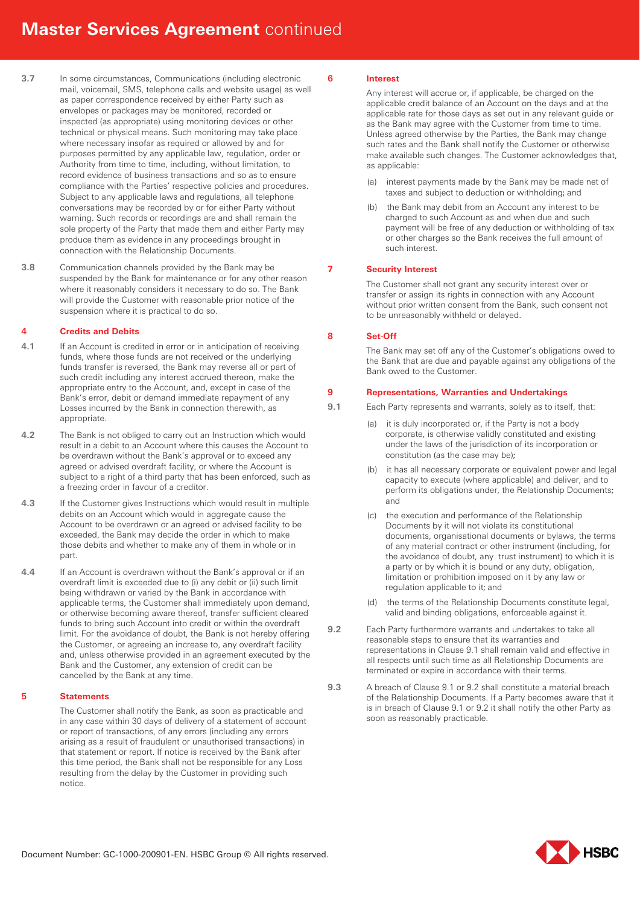- **3.7** In some circumstances, Communications (including electronic mail, voicemail, SMS, telephone calls and website usage) as well as paper correspondence received by either Party such as envelopes or packages may be monitored, recorded or inspected (as appropriate) using monitoring devices or other technical or physical means. Such monitoring may take place where necessary insofar as required or allowed by and for purposes permitted by any applicable law, regulation, order or Authority from time to time, including, without limitation, to record evidence of business transactions and so as to ensure compliance with the Parties' respective policies and procedures. Subject to any applicable laws and regulations, all telephone conversations may be recorded by or for either Party without warning. Such records or recordings are and shall remain the sole property of the Party that made them and either Party may produce them as evidence in any proceedings brought in connection with the Relationship Documents.
- **3.8** Communication channels provided by the Bank may be suspended by the Bank for maintenance or for any other reason where it reasonably considers it necessary to do so. The Bank will provide the Customer with reasonable prior notice of the suspension where it is practical to do so.

# **4 Credits and Debits**

- **4.1** If an Account is credited in error or in anticipation of receiving funds, where those funds are not received or the underlying funds transfer is reversed, the Bank may reverse all or part of such credit including any interest accrued thereon, make the appropriate entry to the Account, and, except in case of the Bank's error, debit or demand immediate repayment of any Losses incurred by the Bank in connection therewith, as appropriate.
- **4.2** The Bank is not obliged to carry out an Instruction which would result in a debit to an Account where this causes the Account to be overdrawn without the Bank's approval or to exceed any agreed or advised overdraft facility, or where the Account is subject to a right of a third party that has been enforced, such as a freezing order in favour of a creditor.
- **4.3** If the Customer gives Instructions which would result in multiple debits on an Account which would in aggregate cause the Account to be overdrawn or an agreed or advised facility to be exceeded, the Bank may decide the order in which to make those debits and whether to make any of them in whole or in part.
- **4.4** If an Account is overdrawn without the Bank's approval or if an overdraft limit is exceeded due to (i) any debit or (ii) such limit being withdrawn or varied by the Bank in accordance with applicable terms, the Customer shall immediately upon demand, or otherwise becoming aware thereof, transfer sufficient cleared funds to bring such Account into credit or within the overdraft limit. For the avoidance of doubt, the Bank is not hereby offering the Customer, or agreeing an increase to, any overdraft facility and, unless otherwise provided in an agreement executed by the Bank and the Customer, any extension of credit can be cancelled by the Bank at any time.

# **5 Statements**

The Customer shall notify the Bank, as soon as practicable and in any case within 30 days of delivery of a statement of account or report of transactions, of any errors (including any errors arising as a result of fraudulent or unauthorised transactions) in that statement or report. If notice is received by the Bank after this time period, the Bank shall not be responsible for any Loss resulting from the delay by the Customer in providing such notice.

## **6 Interest**

Any interest will accrue or, if applicable, be charged on the applicable credit balance of an Account on the days and at the applicable rate for those days as set out in any relevant guide or as the Bank may agree with the Customer from time to time. Unless agreed otherwise by the Parties, the Bank may change such rates and the Bank shall notify the Customer or otherwise make available such changes. The Customer acknowledges that, as applicable:

- (a) interest payments made by the Bank may be made net of taxes and subject to deduction or withholding; and
- (b) the Bank may debit from an Account any interest to be charged to such Account as and when due and such payment will be free of any deduction or withholding of tax or other charges so the Bank receives the full amount of such interest.

# **7 Security Interest**

The Customer shall not grant any security interest over or transfer or assign its rights in connection with any Account without prior written consent from the Bank, such consent not to be unreasonably withheld or delayed.

# **8 Set-Off**

The Bank may set off any of the Customer's obligations owed to the Bank that are due and payable against any obligations of the Bank owed to the Customer.

# **9 Representations, Warranties and Undertakings**

- **9.1** Each Party represents and warrants, solely as to itself, that:
	- (a) it is duly incorporated or, if the Party is not a body corporate, is otherwise validly constituted and existing under the laws of the jurisdiction of its incorporation or constitution (as the case may be);
	- (b) it has all necessary corporate or equivalent power and legal capacity to execute (where applicable) and deliver, and to perform its obligations under, the Relationship Documents; and
	- (c) the execution and performance of the Relationship Documents by it will not violate its constitutional documents, organisational documents or bylaws, the terms of any material contract or other instrument (including, for the avoidance of doubt, any trust instrument) to which it is a party or by which it is bound or any duty, obligation, limitation or prohibition imposed on it by any law or regulation applicable to it; and
	- (d) the terms of the Relationship Documents constitute legal, valid and binding obligations, enforceable against it.
- **9.2** Each Party furthermore warrants and undertakes to take all reasonable steps to ensure that its warranties and representations in Clause 9.1 shall remain valid and effective in all respects until such time as all Relationship Documents are terminated or expire in accordance with their terms.
- **9.3** A breach of Clause 9.1 or 9.2 shall constitute a material breach of the Relationship Documents. If a Party becomes aware that it is in breach of Clause 9.1 or 9.2 it shall notify the other Party as soon as reasonably practicable.

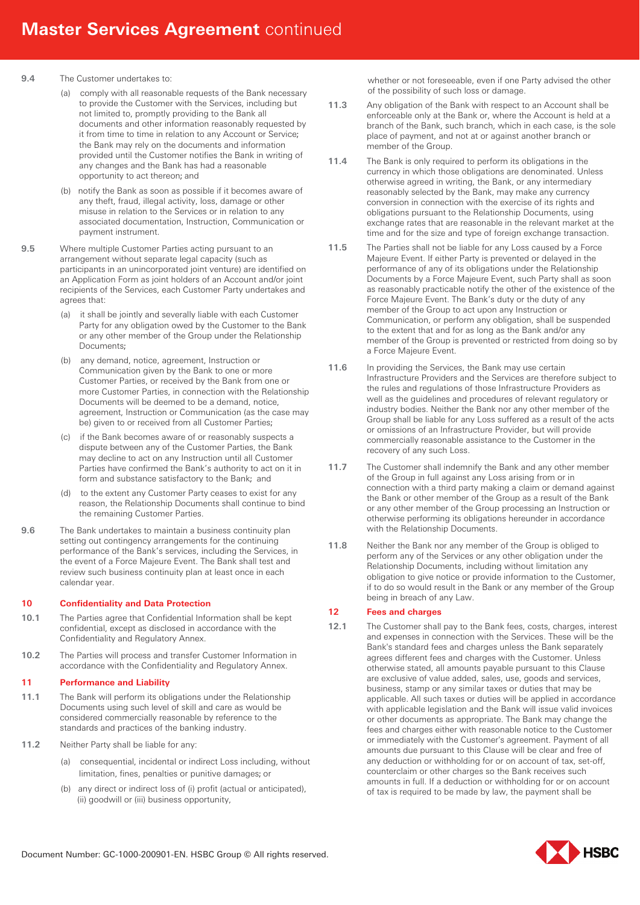#### **9.4** The Customer undertakes to:

- (a) comply with all reasonable requests of the Bank necessary to provide the Customer with the Services, including but not limited to, promptly providing to the Bank all documents and other information reasonably requested by it from time to time in relation to any Account or Service; the Bank may rely on the documents and information provided until the Customer notifies the Bank in writing of any changes and the Bank has had a reasonable opportunity to act thereon; and
- (b) notify the Bank as soon as possible if it becomes aware of any theft, fraud, illegal activity, loss, damage or other misuse in relation to the Services or in relation to any associated documentation, Instruction, Communication or payment instrument.
- **9.5** Where multiple Customer Parties acting pursuant to an arrangement without separate legal capacity (such as participants in an unincorporated joint venture) are identified on an Application Form as joint holders of an Account and/or joint recipients of the Services, each Customer Party undertakes and agrees that:
	- (a) it shall be jointly and severally liable with each Customer Party for any obligation owed by the Customer to the Bank or any other member of the Group under the Relationship Documents;
	- (b) any demand, notice, agreement, Instruction or Communication given by the Bank to one or more Customer Parties, or received by the Bank from one or more Customer Parties, in connection with the Relationship Documents will be deemed to be a demand, notice, agreement, Instruction or Communication (as the case may be) given to or received from all Customer Parties;
	- (c) if the Bank becomes aware of or reasonably suspects a dispute between any of the Customer Parties, the Bank may decline to act on any Instruction until all Customer Parties have confirmed the Bank's authority to act on it in form and substance satisfactory to the Bank; and
	- (d) to the extent any Customer Party ceases to exist for any reason, the Relationship Documents shall continue to bind the remaining Customer Parties.
- **9.6** The Bank undertakes to maintain a business continuity plan setting out contingency arrangements for the continuing performance of the Bank's services, including the Services, in the event of a Force Majeure Event. The Bank shall test and review such business continuity plan at least once in each calendar year.

## **10 Confidentiality and Data Protection**

- **10.1** The Parties agree that Confidential Information shall be kept confidential, except as disclosed in accordance with the Confidentiality and Regulatory Annex.
- **10.2** The Parties will process and transfer Customer Information in accordance with the Confidentiality and Regulatory Annex.

## **11 Performance and Liability**

- **11.1** The Bank will perform its obligations under the Relationship Documents using such level of skill and care as would be considered commercially reasonable by reference to the standards and practices of the banking industry.
- **11.2** Neither Party shall be liable for any:
	- (a) consequential, incidental or indirect Loss including, without limitation, fines, penalties or punitive damages; or
	- (b) any direct or indirect loss of (i) profit (actual or anticipated), (ii) goodwill or (iii) business opportunity,

whether or not foreseeable, even if one Party advised the other of the possibility of such loss or damage.

- **11.3** Any obligation of the Bank with respect to an Account shall be enforceable only at the Bank or, where the Account is held at a branch of the Bank, such branch, which in each case, is the sole place of payment, and not at or against another branch or member of the Group.
- **11.4** The Bank is only required to perform its obligations in the currency in which those obligations are denominated. Unless otherwise agreed in writing, the Bank, or any intermediary reasonably selected by the Bank, may make any currency conversion in connection with the exercise of its rights and obligations pursuant to the Relationship Documents, using exchange rates that are reasonable in the relevant market at the time and for the size and type of foreign exchange transaction.
- **11.5** The Parties shall not be liable for any Loss caused by a Force Majeure Event. If either Party is prevented or delayed in the performance of any of its obligations under the Relationship Documents by a Force Majeure Event, such Party shall as soon as reasonably practicable notify the other of the existence of the Force Majeure Event. The Bank's duty or the duty of any member of the Group to act upon any Instruction or Communication, or perform any obligation, shall be suspended to the extent that and for as long as the Bank and/or any member of the Group is prevented or restricted from doing so by a Force Majeure Event.
- **11.6** In providing the Services, the Bank may use certain Infrastructure Providers and the Services are therefore subject to the rules and regulations of those Infrastructure Providers as well as the guidelines and procedures of relevant regulatory or industry bodies. Neither the Bank nor any other member of the Group shall be liable for any Loss suffered as a result of the acts or omissions of an Infrastructure Provider, but will provide commercially reasonable assistance to the Customer in the recovery of any such Loss.
- **11.7** The Customer shall indemnify the Bank and any other member of the Group in full against any Loss arising from or in connection with a third party making a claim or demand against the Bank or other member of the Group as a result of the Bank or any other member of the Group processing an Instruction or otherwise performing its obligations hereunder in accordance with the Relationship Documents.
- **11.8** Neither the Bank nor any member of the Group is obliged to perform any of the Services or any other obligation under the Relationship Documents, including without limitation any obligation to give notice or provide information to the Customer, if to do so would result in the Bank or any member of the Group being in breach of any Law.

## **12 Fees and charges**

**12.1** The Customer shall pay to the Bank fees, costs, charges, interest and expenses in connection with the Services. These will be the Bank's standard fees and charges unless the Bank separately agrees different fees and charges with the Customer. Unless otherwise stated, all amounts payable pursuant to this Clause are exclusive of value added, sales, use, goods and services, business, stamp or any similar taxes or duties that may be applicable. All such taxes or duties will be applied in accordance with applicable legislation and the Bank will issue valid invoices or other documents as appropriate. The Bank may change the fees and charges either with reasonable notice to the Customer or immediately with the Customer's agreement. Payment of all amounts due pursuant to this Clause will be clear and free of any deduction or withholding for or on account of tax, set-off, counterclaim or other charges so the Bank receives such amounts in full. If a deduction or withholding for or on account of tax is required to be made by law, the payment shall be

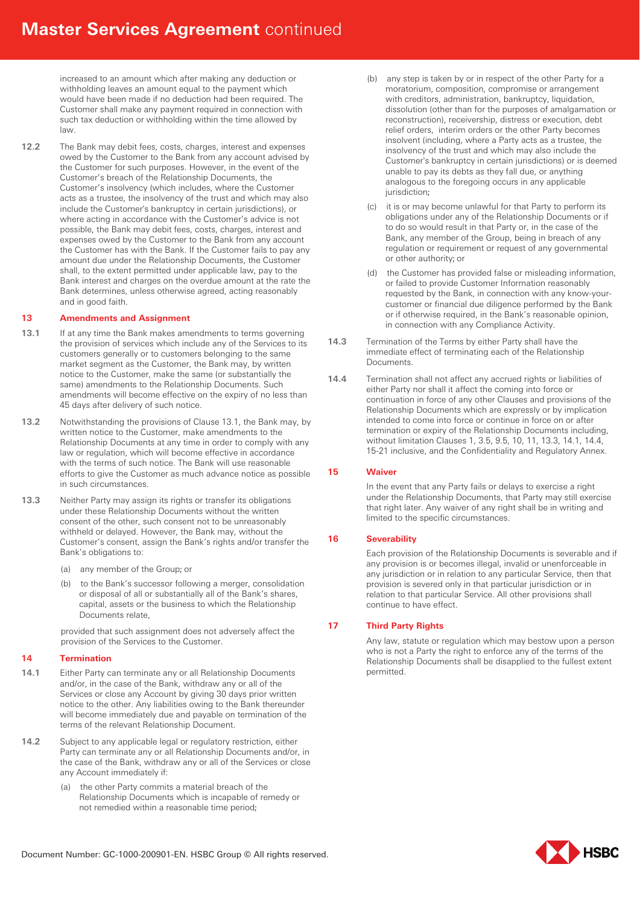increased to an amount which after making any deduction or withholding leaves an amount equal to the payment which would have been made if no deduction had been required. The Customer shall make any payment required in connection with such tax deduction or withholding within the time allowed by law.

**12.2** The Bank may debit fees, costs, charges, interest and expenses owed by the Customer to the Bank from any account advised by the Customer for such purposes. However, in the event of the Customer's breach of the Relationship Documents, the Customer's insolvency (which includes, where the Customer acts as a trustee, the insolvency of the trust and which may also include the Customer's bankruptcy in certain jurisdictions), or where acting in accordance with the Customer's advice is not possible, the Bank may debit fees, costs, charges, interest and expenses owed by the Customer to the Bank from any account the Customer has with the Bank. If the Customer fails to pay any amount due under the Relationship Documents, the Customer shall, to the extent permitted under applicable law, pay to the Bank interest and charges on the overdue amount at the rate the Bank determines, unless otherwise agreed, acting reasonably and in good faith.

## **13 Amendments and Assignment**

- **13.1** If at any time the Bank makes amendments to terms governing the provision of services which include any of the Services to its customers generally or to customers belonging to the same market segment as the Customer, the Bank may, by written notice to the Customer, make the same (or substantially the same) amendments to the Relationship Documents. Such amendments will become effective on the expiry of no less than 45 days after delivery of such notice.
- **13.2** Notwithstanding the provisions of Clause 13.1, the Bank may, by written notice to the Customer, make amendments to the Relationship Documents at any time in order to comply with any law or regulation, which will become effective in accordance with the terms of such notice. The Bank will use reasonable efforts to give the Customer as much advance notice as possible in such circumstances.
- **13.3** Neither Party may assign its rights or transfer its obligations under these Relationship Documents without the written consent of the other, such consent not to be unreasonably withheld or delayed. However, the Bank may, without the Customer's consent, assign the Bank's rights and/or transfer the Bank's obligations to:
	- (a) any member of the Group; or
	- (b) to the Bank's successor following a merger, consolidation or disposal of all or substantially all of the Bank's shares, capital, assets or the business to which the Relationship Documents relate,

provided that such assignment does not adversely affect the provision of the Services to the Customer.

# **14 Termination**

- **14.1** Either Party can terminate any or all Relationship Documents and/or, in the case of the Bank, withdraw any or all of the Services or close any Account by giving 30 days prior written notice to the other. Any liabilities owing to the Bank thereunder will become immediately due and payable on termination of the terms of the relevant Relationship Document.
- 14.2 Subject to any applicable legal or regulatory restriction, either Party can terminate any or all Relationship Documents and/or, in the case of the Bank, withdraw any or all of the Services or close any Account immediately if:
	- (a) the other Party commits a material breach of the Relationship Documents which is incapable of remedy or not remedied within a reasonable time period;
- (b) any step is taken by or in respect of the other Party for a moratorium, composition, compromise or arrangement with creditors, administration, bankruptcy, liquidation, dissolution (other than for the purposes of amalgamation or reconstruction), receivership, distress or execution, debt relief orders, interim orders or the other Party becomes insolvent (including, where a Party acts as a trustee, the insolvency of the trust and which may also include the Customer's bankruptcy in certain jurisdictions) or is deemed unable to pay its debts as they fall due, or anything analogous to the foregoing occurs in any applicable jurisdiction:
- (c) it is or may become unlawful for that Party to perform its obligations under any of the Relationship Documents or if to do so would result in that Party or, in the case of the Bank, any member of the Group, being in breach of any regulation or requirement or request of any governmental or other authority; or
- (d) the Customer has provided false or misleading information, or failed to provide Customer Information reasonably requested by the Bank, in connection with any know-yourcustomer or financial due diligence performed by the Bank or if otherwise required, in the Bank's reasonable opinion, in connection with any Compliance Activity.
- **14.3** Termination of the Terms by either Party shall have the immediate effect of terminating each of the Relationship Documents.
- **14.4** Termination shall not affect any accrued rights or liabilities of either Party nor shall it affect the coming into force or continuation in force of any other Clauses and provisions of the Relationship Documents which are expressly or by implication intended to come into force or continue in force on or after termination or expiry of the Relationship Documents including, without limitation Clauses 1, 3.5, 9.5, 10, 11, 13.3, 14.1, 14.4, 15-21 inclusive, and the Confidentiality and Regulatory Annex.

## **15 Waiver**

In the event that any Party fails or delays to exercise a right under the Relationship Documents, that Party may still exercise that right later. Any waiver of any right shall be in writing and limited to the specific circumstances.

## **16 Severability**

Each provision of the Relationship Documents is severable and if any provision is or becomes illegal, invalid or unenforceable in any jurisdiction or in relation to any particular Service, then that provision is severed only in that particular jurisdiction or in relation to that particular Service. All other provisions shall continue to have effect.

## **17 Third Party Rights**

Any law, statute or regulation which may bestow upon a person who is not a Party the right to enforce any of the terms of the Relationship Documents shall be disapplied to the fullest extent permitted.

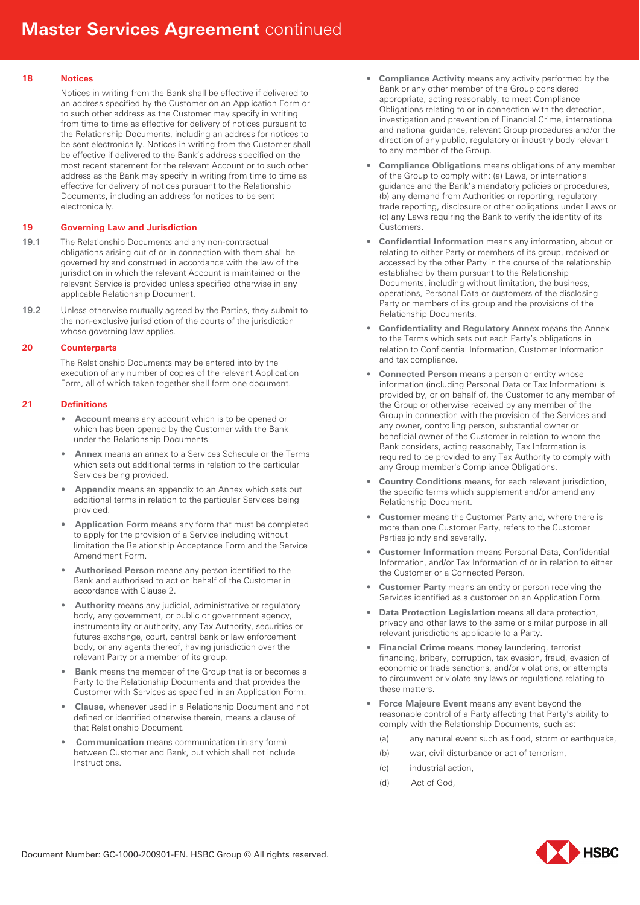## **18 Notices**

Notices in writing from the Bank shall be effective if delivered to an address specified by the Customer on an Application Form or to such other address as the Customer may specify in writing from time to time as effective for delivery of notices pursuant to the Relationship Documents, including an address for notices to be sent electronically. Notices in writing from the Customer shall be effective if delivered to the Bank's address specified on the most recent statement for the relevant Account or to such other address as the Bank may specify in writing from time to time as effective for delivery of notices pursuant to the Relationship Documents, including an address for notices to be sent electronically.

## **19 Governing Law and Jurisdiction**

- **19.1** The Relationship Documents and any non-contractual obligations arising out of or in connection with them shall be governed by and construed in accordance with the law of the jurisdiction in which the relevant Account is maintained or the relevant Service is provided unless specified otherwise in any applicable Relationship Document.
- **19.2** Unless otherwise mutually agreed by the Parties, they submit to the non-exclusive jurisdiction of the courts of the jurisdiction whose governing law applies.

# **20 Counterparts**

The Relationship Documents may be entered into by the execution of any number of copies of the relevant Application Form, all of which taken together shall form one document.

## **21 Definitions**

- **Account** means any account which is to be opened or which has been opened by the Customer with the Bank under the Relationship Documents.
- **Annex** means an annex to a Services Schedule or the Terms which sets out additional terms in relation to the particular Services being provided.
- **Appendix** means an appendix to an Annex which sets out additional terms in relation to the particular Services being provided.
- **Application Form** means any form that must be completed to apply for the provision of a Service including without limitation the Relationship Acceptance Form and the Service Amendment Form.
- **Authorised Person** means any person identified to the Bank and authorised to act on behalf of the Customer in accordance with Clause 2.
- **Authority** means any judicial, administrative or regulatory body, any government, or public or government agency, instrumentality or authority, any Tax Authority, securities or futures exchange, court, central bank or law enforcement body, or any agents thereof, having jurisdiction over the relevant Party or a member of its group.
- **Bank** means the member of the Group that is or becomes a Party to the Relationship Documents and that provides the Customer with Services as specified in an Application Form.
- **Clause**, whenever used in a Relationship Document and not defined or identified otherwise therein, means a clause of that Relationship Document.
- **Communication** means communication (in any form) between Customer and Bank, but which shall not include **Instructions**
- **Compliance Activity** means any activity performed by the Bank or any other member of the Group considered appropriate, acting reasonably, to meet Compliance Obligations relating to or in connection with the detection, investigation and prevention of Financial Crime, international and national guidance, relevant Group procedures and/or the direction of any public, regulatory or industry body relevant to any member of the Group.
- **Compliance Obligations** means obligations of any member of the Group to comply with: (a) Laws, or international guidance and the Bank's mandatory policies or procedures, (b) any demand from Authorities or reporting, regulatory trade reporting, disclosure or other obligations under Laws or (c) any Laws requiring the Bank to verify the identity of its Customers.
- **Confidential Information** means any information, about or relating to either Party or members of its group, received or accessed by the other Party in the course of the relationship established by them pursuant to the Relationship Documents, including without limitation, the business, operations, Personal Data or customers of the disclosing Party or members of its group and the provisions of the Relationship Documents.
- **Confidentiality and Regulatory Annex** means the Annex to the Terms which sets out each Party's obligations in relation to Confidential Information, Customer Information and tax compliance.
- **Connected Person** means a person or entity whose information (including Personal Data or Tax Information) is provided by, or on behalf of, the Customer to any member of the Group or otherwise received by any member of the Group in connection with the provision of the Services and any owner, controlling person, substantial owner or beneficial owner of the Customer in relation to whom the Bank considers, acting reasonably, Tax Information is required to be provided to any Tax Authority to comply with any Group member's Compliance Obligations.
- **Country Conditions** means, for each relevant jurisdiction, the specific terms which supplement and/or amend any Relationship Document.
- **Customer** means the Customer Party and, where there is more than one Customer Party, refers to the Customer Parties jointly and severally.
- **Customer Information** means Personal Data, Confidential Information, and/or Tax Information of or in relation to either the Customer or a Connected Person.
- **Customer Party** means an entity or person receiving the Services identified as a customer on an Application Form.
- **Data Protection Legislation** means all data protection, privacy and other laws to the same or similar purpose in all relevant jurisdictions applicable to a Party.
- **Financial Crime** means money laundering, terrorist financing, bribery, corruption, tax evasion, fraud, evasion of economic or trade sanctions, and/or violations, or attempts to circumvent or violate any laws or regulations relating to these matters.
- **Force Majeure Event** means any event beyond the reasonable control of a Party affecting that Party's ability to comply with the Relationship Documents, such as:
	- (a) any natural event such as flood, storm or earthquake,
	- (b) war, civil disturbance or act of terrorism,
	- (c) industrial action,
	- (d) Act of God,

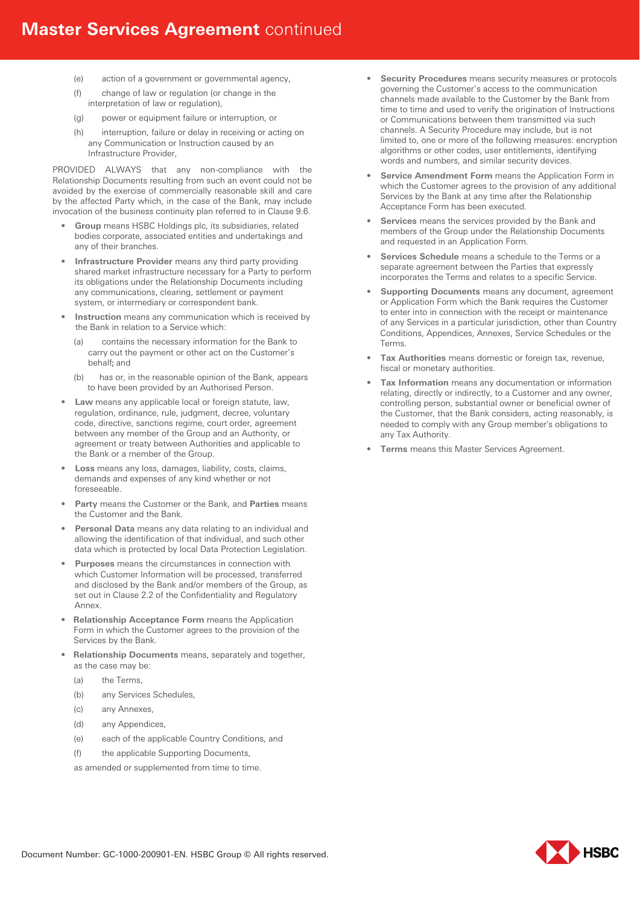- (e) action of a government or governmental agency,
- (f) change of law or regulation (or change in the interpretation of law or regulation),
- (g) power or equipment failure or interruption, or
- (h) interruption, failure or delay in receiving or acting on any Communication or Instruction caused by an Infrastructure Provider,

PROVIDED ALWAYS that any non-compliance with the Relationship Documents resulting from such an event could not be avoided by the exercise of commercially reasonable skill and care by the affected Party which, in the case of the Bank, may include invocation of the business continuity plan referred to in Clause 9.6.

- **Group** means HSBC Holdings plc, its subsidiaries, related bodies corporate, associated entities and undertakings and any of their branches.
- **Infrastructure Provider** means any third party providing shared market infrastructure necessary for a Party to perform its obligations under the Relationship Documents including any communications, clearing, settlement or payment system, or intermediary or correspondent bank.
- **Instruction** means any communication which is received by the Bank in relation to a Service which:
	- (a) contains the necessary information for the Bank to carry out the payment or other act on the Customer's behalf; and
	- (b) has or, in the reasonable opinion of the Bank, appears to have been provided by an Authorised Person.
- **Law** means any applicable local or foreign statute, law, regulation, ordinance, rule, judgment, decree, voluntary code, directive, sanctions regime, court order, agreement between any member of the Group and an Authority, or agreement or treaty between Authorities and applicable to the Bank or a member of the Group.
- **Loss** means any loss, damages, liability, costs, claims, demands and expenses of any kind whether or not foreseeable.
- **Party** means the Customer or the Bank, and **Parties** means the Customer and the Bank.
- **Personal Data** means any data relating to an individual and allowing the identification of that individual, and such other data which is protected by local Data Protection Legislation.
- **Purposes** means the circumstances in connection with which Customer Information will be processed, transferred and disclosed by the Bank and/or members of the Group, as set out in Clause 2.2 of the Confidentiality and Regulatory Annex.
- **Relationship Acceptance Form** means the Application Form in which the Customer agrees to the provision of the Services by the Bank.
- **Relationship Documents** means, separately and together, as the case may be:
	- (a) the Terms,
	- (b) any Services Schedules,
	- (c) any Annexes,
	- (d) any Appendices,
	- (e) each of the applicable Country Conditions, and
	- (f) the applicable Supporting Documents,

as amended or supplemented from time to time.

- **Security Procedures** means security measures or protocols governing the Customer's access to the communication channels made available to the Customer by the Bank from time to time and used to verify the origination of Instructions or Communications between them transmitted via such channels. A Security Procedure may include, but is not limited to, one or more of the following measures: encryption algorithms or other codes, user entitlements, identifying words and numbers, and similar security devices.
- **Service Amendment Form** means the Application Form in which the Customer agrees to the provision of any additional Services by the Bank at any time after the Relationship Acceptance Form has been executed.
- **Services** means the services provided by the Bank and members of the Group under the Relationship Documents and requested in an Application Form.
- **Services Schedule** means a schedule to the Terms or a separate agreement between the Parties that expressly incorporates the Terms and relates to a specific Service.
- **Supporting Documents** means any document, agreement or Application Form which the Bank requires the Customer to enter into in connection with the receipt or maintenance of any Services in a particular jurisdiction, other than Country Conditions, Appendices, Annexes, Service Schedules or the Terms.
- **Tax Authorities** means domestic or foreign tax, revenue, fiscal or monetary authorities.
- **Tax Information** means any documentation or information relating, directly or indirectly, to a Customer and any owner, controlling person, substantial owner or beneficial owner of the Customer, that the Bank considers, acting reasonably, is needed to comply with any Group member's obligations to any Tax Authority.
- **Terms** means this Master Services Agreement.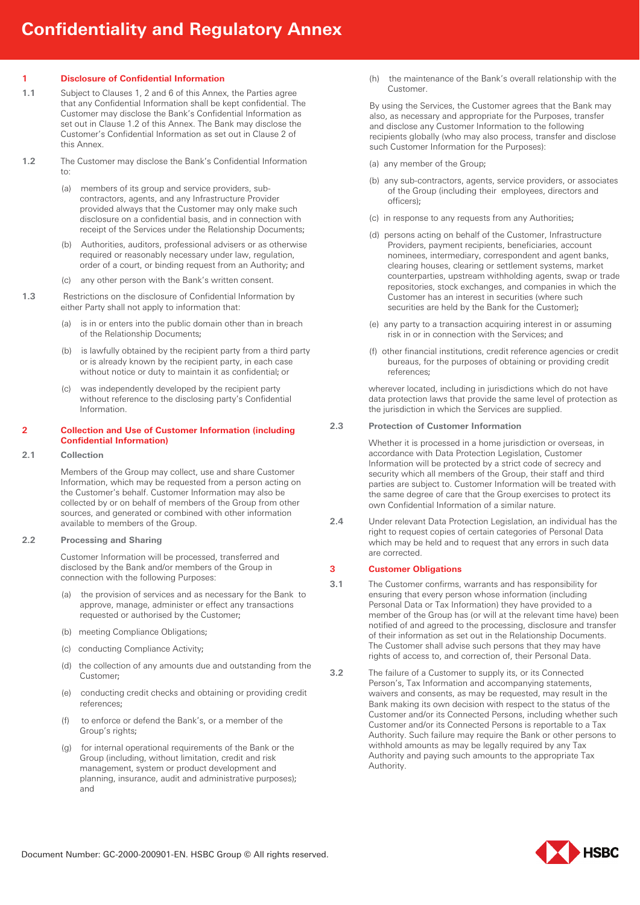## **1 Disclosure of Confidential Information**

- **1.1** Subject to Clauses 1, 2 and 6 of this Annex, the Parties agree that any Confidential Information shall be kept confidential. The Customer may disclose the Bank's Confidential Information as set out in Clause 1.2 of this Annex. The Bank may disclose the Customer's Confidential Information as set out in Clause 2 of this Annex.
- **1.2** The Customer may disclose the Bank's Confidential Information to:
	- (a) members of its group and service providers, subcontractors, agents, and any Infrastructure Provider provided always that the Customer may only make such disclosure on a confidential basis, and in connection with receipt of the Services under the Relationship Documents;
	- (b) Authorities, auditors, professional advisers or as otherwise required or reasonably necessary under law, regulation, order of a court, or binding request from an Authority; and
	- (c) any other person with the Bank's written consent.
- **1.3** Restrictions on the disclosure of Confidential Information by either Party shall not apply to information that:
	- (a) is in or enters into the public domain other than in breach of the Relationship Documents;
	- (b) is lawfully obtained by the recipient party from a third party or is already known by the recipient party, in each case without notice or duty to maintain it as confidential; or
	- (c) was independently developed by the recipient party without reference to the disclosing party's Confidential Information.

## **2 Collection and Use of Customer Information (including Confidential Information)**

**2.1 Collection** 

Members of the Group may collect, use and share Customer Information, which may be requested from a person acting on the Customer's behalf. Customer Information may also be collected by or on behalf of members of the Group from other sources, and generated or combined with other information available to members of the Group.

# **2.2 Processing and Sharing**

Customer Information will be processed, transferred and disclosed by the Bank and/or members of the Group in connection with the following Purposes:

- (a) the provision of services and as necessary for the Bank to approve, manage, administer or effect any transactions requested or authorised by the Customer;
- (b) meeting Compliance Obligations;
- (c) conducting Compliance Activity;
- (d) the collection of any amounts due and outstanding from the Customer;
- (e) conducting credit checks and obtaining or providing credit references;
- (f) to enforce or defend the Bank's, or a member of the Group's rights;
- (g) for internal operational requirements of the Bank or the Group (including, without limitation, credit and risk management, system or product development and planning, insurance, audit and administrative purposes); and

(h) the maintenance of the Bank's overall relationship with the Customer.

By using the Services, the Customer agrees that the Bank may also, as necessary and appropriate for the Purposes, transfer and disclose any Customer Information to the following recipients globally (who may also process, transfer and disclose such Customer Information for the Purposes):

- (a) any member of the Group;
- (b) any sub-contractors, agents, service providers, or associates of the Group (including their employees, directors and officers);
- (c) in response to any requests from any Authorities;
- (d) persons acting on behalf of the Customer, Infrastructure Providers, payment recipients, beneficiaries, account nominees, intermediary, correspondent and agent banks, clearing houses, clearing or settlement systems, market counterparties, upstream withholding agents, swap or trade repositories, stock exchanges, and companies in which the Customer has an interest in securities (where such securities are held by the Bank for the Customer);
- (e) any party to a transaction acquiring interest in or assuming risk in or in connection with the Services; and
- (f) other financial institutions, credit reference agencies or credit bureaus, for the purposes of obtaining or providing credit references;

wherever located, including in jurisdictions which do not have data protection laws that provide the same level of protection as the jurisdiction in which the Services are supplied.

## **2.3 Protection of Customer Information**

Whether it is processed in a home jurisdiction or overseas, in accordance with Data Protection Legislation, Customer Information will be protected by a strict code of secrecy and security which all members of the Group, their staff and third parties are subject to. Customer Information will be treated with the same degree of care that the Group exercises to protect its own Confidential Information of a similar nature.

**2.4** Under relevant Data Protection Legislation, an individual has the right to request copies of certain categories of Personal Data which may be held and to request that any errors in such data are corrected.

## **3 Customer Obligations**

- **3.1** The Customer confirms, warrants and has responsibility for ensuring that every person whose information (including Personal Data or Tax Information) they have provided to a member of the Group has (or will at the relevant time have) been notified of and agreed to the processing, disclosure and transfer of their information as set out in the Relationship Documents. The Customer shall advise such persons that they may have rights of access to, and correction of, their Personal Data.
- **3.2** The failure of a Customer to supply its, or its Connected Person's, Tax Information and accompanying statements, waivers and consents, as may be requested, may result in the Bank making its own decision with respect to the status of the Customer and/or its Connected Persons, including whether such Customer and/or its Connected Persons is reportable to a Tax Authority. Such failure may require the Bank or other persons to withhold amounts as may be legally required by any Tax Authority and paying such amounts to the appropriate Tax Authority.

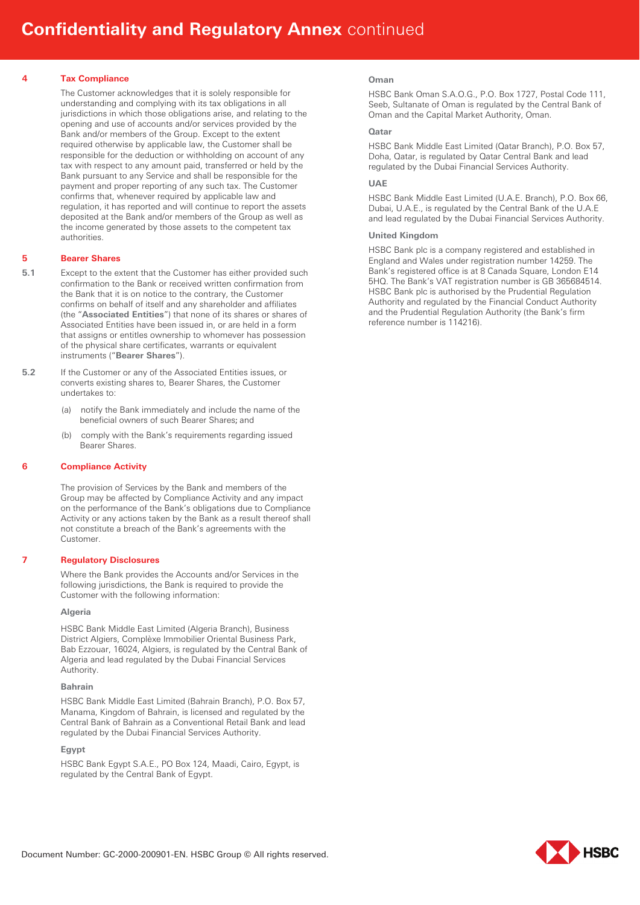## **4 Tax Compliance**

The Customer acknowledges that it is solely responsible for understanding and complying with its tax obligations in all jurisdictions in which those obligations arise, and relating to the opening and use of accounts and/or services provided by the Bank and/or members of the Group. Except to the extent required otherwise by applicable law, the Customer shall be responsible for the deduction or withholding on account of any tax with respect to any amount paid, transferred or held by the Bank pursuant to any Service and shall be responsible for the payment and proper reporting of any such tax. The Customer confirms that, whenever required by applicable law and regulation, it has reported and will continue to report the assets deposited at the Bank and/or members of the Group as well as the income generated by those assets to the competent tax authorities.

#### **5 Bearer Shares**

- **5.1** Except to the extent that the Customer has either provided such confirmation to the Bank or received written confirmation from the Bank that it is on notice to the contrary, the Customer confirms on behalf of itself and any shareholder and affiliates (the "**Associated Entities**") that none of its shares or shares of Associated Entities have been issued in, or are held in a form that assigns or entitles ownership to whomever has possession of the physical share certificates, warrants or equivalent instruments ("**Bearer Shares**").
- **5.2** If the Customer or any of the Associated Entities issues, or converts existing shares to, Bearer Shares, the Customer undertakes to:
	- (a) notify the Bank immediately and include the name of the beneficial owners of such Bearer Shares; and
	- (b) comply with the Bank's requirements regarding issued Bearer Shares.

## **6 Compliance Activity**

The provision of Services by the Bank and members of the Group may be affected by Compliance Activity and any impact on the performance of the Bank's obligations due to Compliance Activity or any actions taken by the Bank as a result thereof shall not constitute a breach of the Bank's agreements with the Customer.

## **7 Regulatory Disclosures**

Where the Bank provides the Accounts and/or Services in the following jurisdictions, the Bank is required to provide the Customer with the following information:

#### **Algeria**

HSBC Bank Middle East Limited (Algeria Branch), Business District Algiers, Complèxe Immobilier Oriental Business Park, Bab Ezzouar, 16024, Algiers, is regulated by the Central Bank of Algeria and lead regulated by the Dubai Financial Services Authority.

#### **Bahrain**

HSBC Bank Middle East Limited (Bahrain Branch), P.O. Box 57, Manama, Kingdom of Bahrain, is licensed and regulated by the Central Bank of Bahrain as a Conventional Retail Bank and lead regulated by the Dubai Financial Services Authority.

#### **Egypt**

HSBC Bank Egypt S.A.E., PO Box 124, Maadi, Cairo, Egypt, is regulated by the Central Bank of Egypt.

#### **Oman**

HSBC Bank Oman S.A.O.G., P.O. Box 1727, Postal Code 111, Seeb, Sultanate of Oman is regulated by the Central Bank of Oman and the Capital Market Authority, Oman.

#### **Qatar**

HSBC Bank Middle East Limited (Qatar Branch), P.O. Box 57, Doha, Qatar, is regulated by Qatar Central Bank and lead regulated by the Dubai Financial Services Authority.

## **UAE**

HSBC Bank Middle East Limited (U.A.E. Branch), P.O. Box 66, Dubai, U.A.E., is regulated by the Central Bank of the U.A.E and lead regulated by the Dubai Financial Services Authority.

#### **United Kingdom**

HSBC Bank plc is a company registered and established in England and Wales under registration number 14259. The Bank's registered office is at 8 Canada Square, London E14 5HQ. The Bank's VAT registration number is GB 365684514. HSBC Bank plc is authorised by the Prudential Regulation Authority and regulated by the Financial Conduct Authority and the Prudential Regulation Authority (the Bank's firm reference number is 114216).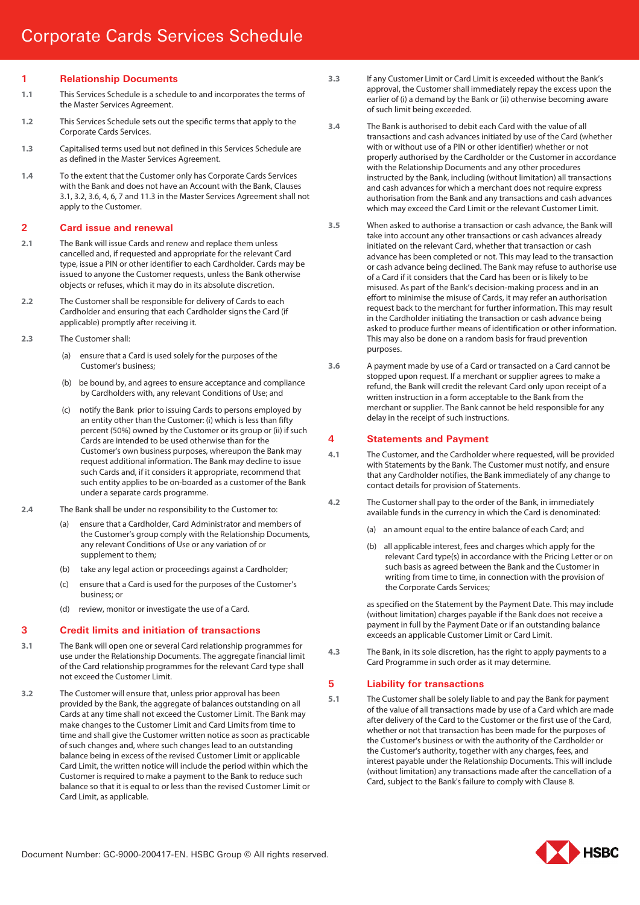# **1 Relationship Documents**

- **1.1** This Services Schedule is a schedule to and incorporates the terms of the Master Services Agreement.
- **1.2** This Services Schedule sets out the specific terms that apply to the Corporate Cards Services.
- **1.3** Capitalised terms used but not defined in this Services Schedule are as defined in the Master Services Agreement.
- **1.4** To the extent that the Customer only has Corporate Cards Services with the Bank and does not have an Account with the Bank, Clauses 3.1, 3.2, 3.6, 4, 6, 7 and 11.3 in the Master Services Agreement shall not apply to the Customer.

#### **2 Card issue and renewal**

- **2.1** The Bank will issue Cards and renew and replace them unless cancelled and, if requested and appropriate for the relevant Card type, issue a PIN or other identifier to each Cardholder. Cards may be issued to anyone the Customer requests, unless the Bank otherwise objects or refuses, which it may do in its absolute discretion.
- **2.2** The Customer shall be responsible for delivery of Cards to each Cardholder and ensuring that each Cardholder signs the Card (if applicable) promptly after receiving it.
- **2.3** The Customer shall:
	- (a) ensure that a Card is used solely for the purposes of the Customer's business;
	- (b) be bound by, and agrees to ensure acceptance and compliance by Cardholders with, any relevant Conditions of Use; and
	- (c) notify the Bank prior to issuing Cards to persons employed by an entity other than the Customer: (i) which is less than fifty percent (50%) owned by the Customer or its group or (ii) if such Cards are intended to be used otherwise than for the Customer's own business purposes, whereupon the Bank may request additional information. The Bank may decline to issue such Cards and, if it considers it appropriate, recommend that such entity applies to be on-boarded as a customer of the Bank under a separate cards programme.
- **2.4** The Bank shall be under no responsibility to the Customer to:
	- ensure that a Cardholder, Card Administrator and members of the Customer's group comply with the Relationship Documents, any relevant Conditions of Use or any variation of or supplement to them;
	- (b) take any legal action or proceedings against a Cardholder;
	- (c) ensure that a Card is used for the purposes of the Customer's business; or
	- (d) review, monitor or investigate the use of a Card.

## **3 Credit limits and initiation of transactions**

- **3.1** The Bank will open one or several Card relationship programmes for use under the Relationship Documents. The aggregate financial limit of the Card relationship programmes for the relevant Card type shall not exceed the Customer Limit.
- **3.2** The Customer will ensure that, unless prior approval has been provided by the Bank, the aggregate of balances outstanding on all Cards at any time shall not exceed the Customer Limit. The Bank may make changes to the Customer Limit and Card Limits from time to time and shall give the Customer written notice as soon as practicable of such changes and, where such changes lead to an outstanding balance being in excess of the revised Customer Limit or applicable Card Limit, the written notice will include the period within which the Customer is required to make a payment to the Bank to reduce such balance so that it is equal to or less than the revised Customer Limit or Card Limit, as applicable.
- **3.3** If any Customer Limit or Card Limit is exceeded without the Bank's approval, the Customer shall immediately repay the excess upon the earlier of (i) a demand by the Bank or (ii) otherwise becoming aware of such limit being exceeded.
- **3.4** The Bank is authorised to debit each Card with the value of all transactions and cash advances initiated by use of the Card (whether with or without use of a PIN or other identifier) whether or not properly authorised by the Cardholder or the Customer in accordance with the Relationship Documents and any other procedures instructed by the Bank, including (without limitation) all transactions and cash advances for which a merchant does not require express authorisation from the Bank and any transactions and cash advances which may exceed the Card Limit or the relevant Customer Limit.
- **3.5** When asked to authorise a transaction or cash advance, the Bank will take into account any other transactions or cash advances already initiated on the relevant Card, whether that transaction or cash advance has been completed or not. This may lead to the transaction or cash advance being declined. The Bank may refuse to authorise use of a Card if it considers that the Card has been or is likely to be misused. As part of the Bank's decision-making process and in an effort to minimise the misuse of Cards, it may refer an authorisation request back to the merchant for further information. This may result in the Cardholder initiating the transaction or cash advance being asked to produce further means of identification or other information. This may also be done on a random basis for fraud prevention purposes.
- **3.6** A payment made by use of a Card or transacted on a Card cannot be stopped upon request. If a merchant or supplier agrees to make a refund, the Bank will credit the relevant Card only upon receipt of a written instruction in a form acceptable to the Bank from the merchant or supplier. The Bank cannot be held responsible for any delay in the receipt of such instructions.

## **4 Statements and Payment**

- **4.1** The Customer, and the Cardholder where requested, will be provided with Statements by the Bank. The Customer must notify, and ensure that any Cardholder notifies, the Bank immediately of any change to contact details for provision of Statements.
- **4.2** The Customer shall pay to the order of the Bank, in immediately available funds in the currency in which the Card is denominated:
	- (a) an amount equal to the entire balance of each Card; and
	- (b) all applicable interest, fees and charges which apply for the relevant Card type(s) in accordance with the Pricing Letter or on such basis as agreed between the Bank and the Customer in writing from time to time, in connection with the provision of the Corporate Cards Services;

as specified on the Statement by the Payment Date. This may include (without limitation) charges payable if the Bank does not receive a payment in full by the Payment Date or if an outstanding balance exceeds an applicable Customer Limit or Card Limit.

**4.3** The Bank, in its sole discretion, has the right to apply payments to a Card Programme in such order as it may determine.

## **5 Liability for transactions**

**5.1** The Customer shall be solely liable to and pay the Bank for payment of the value of all transactions made by use of a Card which are made after delivery of the Card to the Customer or the first use of the Card, whether or not that transaction has been made for the purposes of the Customer's business or with the authority of the Cardholder or the Customer's authority, together with any charges, fees, and interest payable under the Relationship Documents. This will include (without limitation) any transactions made after the cancellation of a Card, subject to the Bank's failure to comply with Clause 8.

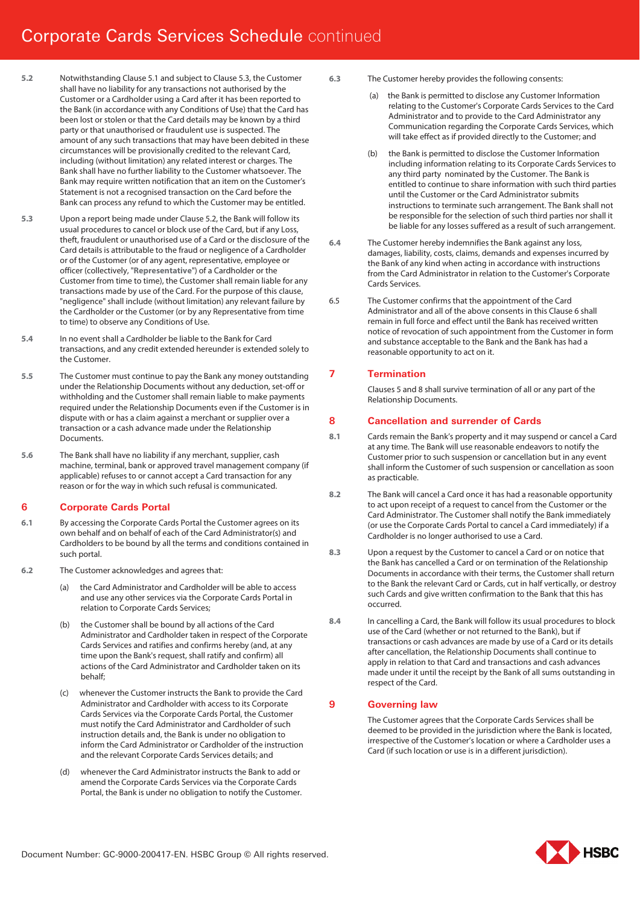# Corporate Cards Services Schedule continued

- **5.2** Notwithstanding Clause 5.1 and subject to Clause 5.3, the Customer shall have no liability for any transactions not authorised by the Customer or a Cardholder using a Card after it has been reported to the Bank (in accordance with any Conditions of Use) that the Card has been lost or stolen or that the Card details may be known by a third party or that unauthorised or fraudulent use is suspected. The amount of any such transactions that may have been debited in these circumstances will be provisionally credited to the relevant Card, including (without limitation) any related interest or charges. The Bank shall have no further liability to the Customer whatsoever. The Bank may require written notification that an item on the Customer's Statement is not a recognised transaction on the Card before the Bank can process any refund to which the Customer may be entitled.
- **5.3** Upon a report being made under Clause 5.2, the Bank will follow its usual procedures to cancel or block use of the Card, but if any Loss, theft, fraudulent or unauthorised use of a Card or the disclosure of the Card details is attributable to the fraud or negligence of a Cardholder or of the Customer (or of any agent, representative, employee or officer (collectively, "**Representative**") of a Cardholder or the Customer from time to time), the Customer shall remain liable for any transactions made by use of the Card. For the purpose of this clause, "negligence" shall include (without limitation) any relevant failure by the Cardholder or the Customer (or by any Representative from time to time) to observe any Conditions of Use.
- **5.4** In no event shall a Cardholder be liable to the Bank for Card transactions, and any credit extended hereunder is extended solely to the Customer.
- **5.5** The Customer must continue to pay the Bank any money outstanding under the Relationship Documents without any deduction, set-off or withholding and the Customer shall remain liable to make payments required under the Relationship Documents even if the Customer is in dispute with or has a claim against a merchant or supplier over a transaction or a cash advance made under the Relationship Documents.
- **5.6** The Bank shall have no liability if any merchant, supplier, cash machine, terminal, bank or approved travel management company (if applicable) refuses to or cannot accept a Card transaction for any reason or for the way in which such refusal is communicated.

# **6 Corporate Cards Portal**

- **6.1** By accessing the Corporate Cards Portal the Customer agrees on its own behalf and on behalf of each of the Card Administrator(s) and Cardholders to be bound by all the terms and conditions contained in such portal.
- **6.2** The Customer acknowledges and agrees that:
	- the Card Administrator and Cardholder will be able to access and use any other services via the Corporate Cards Portal in relation to Corporate Cards Services;
	- (b) the Customer shall be bound by all actions of the Card Administrator and Cardholder taken in respect of the Corporate Cards Services and ratifies and confirms hereby (and, at any time upon the Bank's request, shall ratify and confirm) all actions of the Card Administrator and Cardholder taken on its behalf;
	- whenever the Customer instructs the Bank to provide the Card Administrator and Cardholder with access to its Corporate Cards Services via the Corporate Cards Portal, the Customer must notify the Card Administrator and Cardholder of such instruction details and, the Bank is under no obligation to inform the Card Administrator or Cardholder of the instruction and the relevant Corporate Cards Services details; and
	- (d) whenever the Card Administrator instructs the Bank to add or amend the Corporate Cards Services via the Corporate Cards Portal, the Bank is under no obligation to notify the Customer.
- **6.3** The Customer hereby provides the following consents:
	- the Bank is permitted to disclose any Customer Information relating to the Customer's Corporate Cards Services to the Card Administrator and to provide to the Card Administrator any Communication regarding the Corporate Cards Services, which will take effect as if provided directly to the Customer; and
	- the Bank is permitted to disclose the Customer Information including information relating to its Corporate Cards Services to any third party nominated by the Customer. The Bank is entitled to continue to share information with such third parties until the Customer or the Card Administrator submits instructions to terminate such arrangement. The Bank shall not be responsible for the selection of such third parties nor shall it be liable for any losses suffered as a result of such arrangement.
- **6.4** The Customer hereby indemnifies the Bank against any loss, damages, liability, costs, claims, demands and expenses incurred by the Bank of any kind when acting in accordance with instructions from the Card Administrator in relation to the Customer's Corporate Cards Services.
- 6.5 The Customer confirms that the appointment of the Card Administrator and all of the above consents in this Clause 6 shall remain in full force and effect until the Bank has received written notice of revocation of such appointment from the Customer in form and substance acceptable to the Bank and the Bank has had a reasonable opportunity to act on it.

# **7 Termination**

Clauses 5 and 8 shall survive termination of all or any part of the Relationship Documents.

# **8 Cancellation and surrender of Cards**

- **8.1** Cards remain the Bank's property and it may suspend or cancel a Card at any time. The Bank will use reasonable endeavors to notify the Customer prior to such suspension or cancellation but in any event shall inform the Customer of such suspension or cancellation as soon as practicable.
- **8.2** The Bank will cancel a Card once it has had a reasonable opportunity to act upon receipt of a request to cancel from the Customer or the Card Administrator. The Customer shall notify the Bank immediately (or use the Corporate Cards Portal to cancel a Card immediately) if a Cardholder is no longer authorised to use a Card.
- **8.3** Upon a request by the Customer to cancel a Card or on notice that the Bank has cancelled a Card or on termination of the Relationship Documents in accordance with their terms, the Customer shall return to the Bank the relevant Card or Cards, cut in half vertically, or destroy such Cards and give written confirmation to the Bank that this has occurred.
- **8.4** In cancelling a Card, the Bank will follow its usual procedures to block use of the Card (whether or not returned to the Bank), but if transactions or cash advances are made by use of a Card or its details after cancellation, the Relationship Documents shall continue to apply in relation to that Card and transactions and cash advances made under it until the receipt by the Bank of all sums outstanding in respect of the Card.

# **9 Governing law**

The Customer agrees that the Corporate Cards Services shall be deemed to be provided in the jurisdiction where the Bank is located, irrespective of the Customer's location or where a Cardholder uses a Card (if such location or use is in a different jurisdiction).

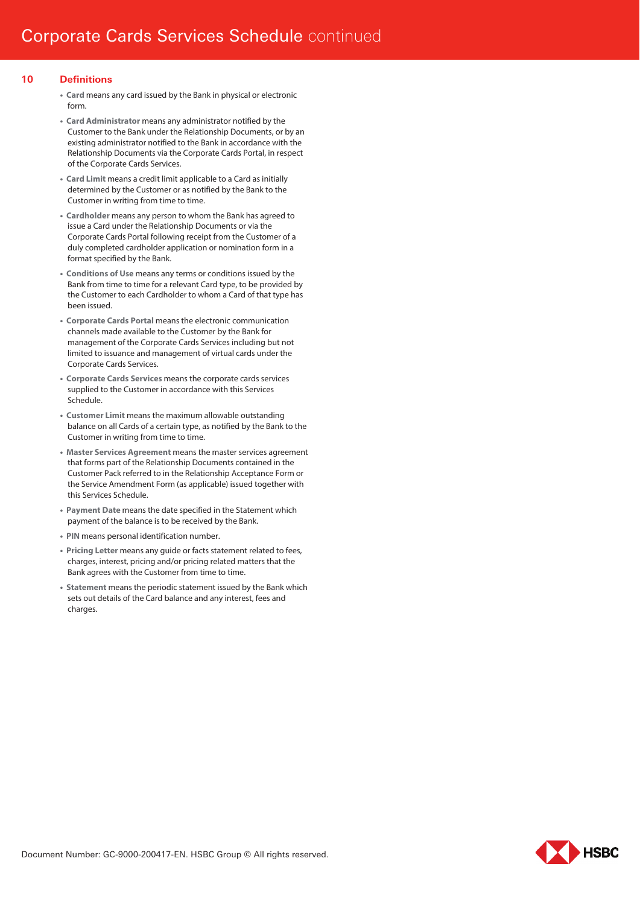# **10 Definitions**

- **Card** means any card issued by the Bank in physical or electronic form.
- **Card Administrator** means any administrator notified by the Customer to the Bank under the Relationship Documents, or by an existing administrator notified to the Bank in accordance with the Relationship Documents via the Corporate Cards Portal, in respect of the Corporate Cards Services.
- **Card Limit** means a credit limit applicable to a Card as initially determined by the Customer or as notified by the Bank to the Customer in writing from time to time.
- **Cardholder** means any person to whom the Bank has agreed to issue a Card under the Relationship Documents or via the Corporate Cards Portal following receipt from the Customer of a duly completed cardholder application or nomination form in a format specified by the Bank.
- **Conditions of Use** means any terms or conditions issued by the Bank from time to time for a relevant Card type, to be provided by the Customer to each Cardholder to whom a Card of that type has been issued.
- **Corporate Cards Portal** means the electronic communication channels made available to the Customer by the Bank for management of the Corporate Cards Services including but not limited to issuance and management of virtual cards under the Corporate Cards Services.
- **Corporate Cards Services** means the corporate cards services supplied to the Customer in accordance with this Services Schedule.
- **Customer Limit** means the maximum allowable outstanding balance on all Cards of a certain type, as notified by the Bank to the Customer in writing from time to time.
- **Master Services Agreement** means the master services agreement that forms part of the Relationship Documents contained in the Customer Pack referred to in the Relationship Acceptance Form or the Service Amendment Form (as applicable) issued together with this Services Schedule.
- **Payment Date** means the date specified in the Statement which payment of the balance is to be received by the Bank.
- **PIN** means personal identification number.
- **Pricing Letter** means any guide or facts statement related to fees, charges, interest, pricing and/or pricing related matters that the Bank agrees with the Customer from time to time.
- **Statement** means the periodic statement issued by the Bank which sets out details of the Card balance and any interest, fees and charges.

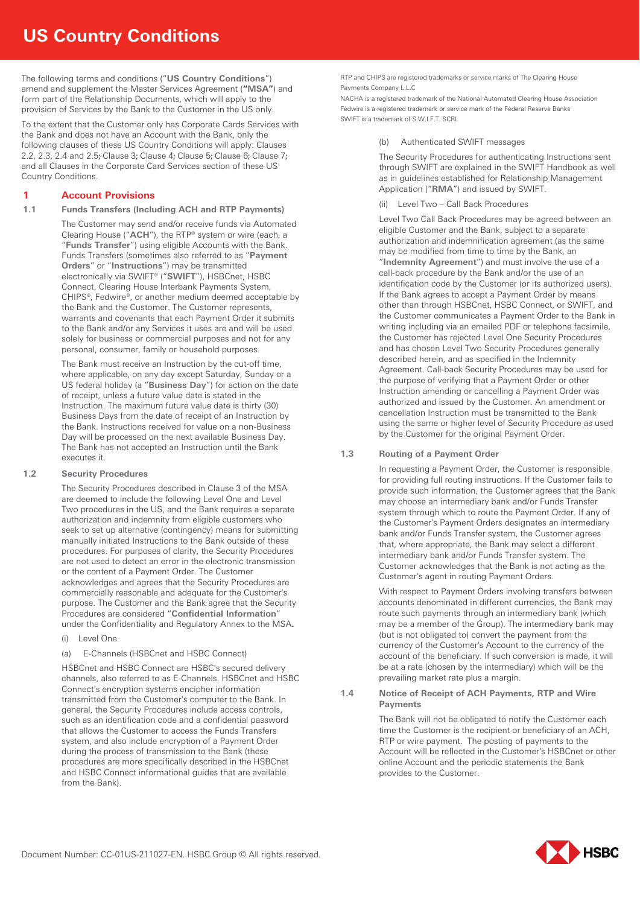# **US Country Conditions**

The following terms and conditions ("**US Country Conditions**") amend and supplement the Master Services Agreement (**"MSA"**) and form part of the Relationship Documents, which will apply to the provision of Services by the Bank to the Customer in the US only.

To the extent that the Customer only has Corporate Cards Services with the Bank and does not have an Account with the Bank, only the following clauses of these US Country Conditions will apply: Clauses 2.2, 2.3, 2.4 and 2.5; Clause 3; Clause 4; Clause 5; Clause 6; Clause 7; and all Clauses in the Corporate Card Services section of these US Country Conditions.

# **1 Account Provisions**

# **1.1 Funds Transfers (Including ACH and RTP Payments)**

The Customer may send and/or receive funds via Automated Clearing House ("**ACH**"), the RTP® system or wire (each, a "**Funds Transfer**") using eligible Accounts with the Bank. Funds Transfers (sometimes also referred to as "**Payment Orders**" or "**Instructions**") may be transmitted electronically via SWIFT® ("**SWIFT**"), HSBCnet, HSBC Connect, Clearing House Interbank Payments System, CHIPS®, Fedwire®, or another medium deemed acceptable by the Bank and the Customer. The Customer represents, warrants and covenants that each Payment Order it submits to the Bank and/or any Services it uses are and will be used solely for business or commercial purposes and not for any personal, consumer, family or household purposes.

The Bank must receive an Instruction by the cut-off time, where applicable, on any day except Saturday, Sunday or a US federal holiday (a "**Business Day**") for action on the date of receipt, unless a future value date is stated in the Instruction. The maximum future value date is thirty (30) Business Days from the date of receipt of an Instruction by the Bank. Instructions received for value on a non-Business Day will be processed on the next available Business Day. The Bank has not accepted an Instruction until the Bank executes it.

# **1.2 Security Procedures**

The Security Procedures described in Clause 3 of the MSA are deemed to include the following Level One and Level Two procedures in the US, and the Bank requires a separate authorization and indemnity from eligible customers who seek to set up alternative (contingency) means for submitting manually initiated Instructions to the Bank outside of these procedures. For purposes of clarity, the Security Procedures are not used to detect an error in the electronic transmission or the content of a Payment Order. The Customer acknowledges and agrees that the Security Procedures are commercially reasonable and adequate for the Customer's purpose. The Customer and the Bank agree that the Security Procedures are considered "**Confidential Information**" under the Confidentiality and Regulatory Annex to the MSA**.**

- (i) Level One
- (a) E-Channels (HSBCnet and HSBC Connect)

HSBCnet and HSBC Connect are HSBC's secured delivery channels, also referred to as E-Channels. HSBCnet and HSBC Connect's encryption systems encipher information transmitted from the Customer's computer to the Bank. In general, the Security Procedures include access controls, such as an identification code and a confidential password that allows the Customer to access the Funds Transfers system, and also include encryption of a Payment Order during the process of transmission to the Bank (these procedures are more specifically described in the HSBCnet and HSBC Connect informational guides that are available from the Bank).

RTP and CHIPS are registered trademarks or service marks of The Clearing House Payments Company L.L.C

NACHA is a registered trademark of the National Automated Clearing House Association Fedwire is a registered trademark or service mark of the Federal Reserve Banks SWIFT is a trademark of S.W.LET. SCRL

# (b) Authenticated SWIFT messages

The Security Procedures for authenticating Instructions sent through SWIFT are explained in the SWIFT Handbook as well as in guidelines established for Relationship Management Application ("**RMA**") and issued by SWIFT.

(ii) Level Two – Call Back Procedures

Level Two Call Back Procedures may be agreed between an eligible Customer and the Bank, subject to a separate authorization and indemnification agreement (as the same may be modified from time to time by the Bank, an "**Indemnity Agreement**") and must involve the use of a call-back procedure by the Bank and/or the use of an identification code by the Customer (or its authorized users). If the Bank agrees to accept a Payment Order by means other than through HSBCnet, HSBC Connect, or SWIFT, and the Customer communicates a Payment Order to the Bank in writing including via an emailed PDF or telephone facsimile, the Customer has rejected Level One Security Procedures and has chosen Level Two Security Procedures generally described herein, and as specified in the Indemnity Agreement. Call-back Security Procedures may be used for the purpose of verifying that a Payment Order or other Instruction amending or cancelling a Payment Order was authorized and issued by the Customer. An amendment or cancellation Instruction must be transmitted to the Bank using the same or higher level of Security Procedure as used by the Customer for the original Payment Order.

# **1.3 Routing of a Payment Order**

In requesting a Payment Order, the Customer is responsible for providing full routing instructions. If the Customer fails to provide such information, the Customer agrees that the Bank may choose an intermediary bank and/or Funds Transfer system through which to route the Payment Order. If any of the Customer's Payment Orders designates an intermediary bank and/or Funds Transfer system, the Customer agrees that, where appropriate, the Bank may select a different intermediary bank and/or Funds Transfer system. The Customer acknowledges that the Bank is not acting as the Customer's agent in routing Payment Orders.

With respect to Payment Orders involving transfers between accounts denominated in different currencies, the Bank may route such payments through an intermediary bank (which may be a member of the Group). The intermediary bank may (but is not obligated to) convert the payment from the currency of the Customer's Account to the currency of the account of the beneficiary. If such conversion is made, it will be at a rate (chosen by the intermediary) which will be the prevailing market rate plus a margin.

**1.4 Notice of Receipt of ACH Payments, RTP and Wire Payments** 

> The Bank will not be obligated to notify the Customer each time the Customer is the recipient or beneficiary of an ACH, RTP or wire payment. The posting of payments to the Account will be reflected in the Customer's HSBCnet or other online Account and the periodic statements the Bank provides to the Customer.

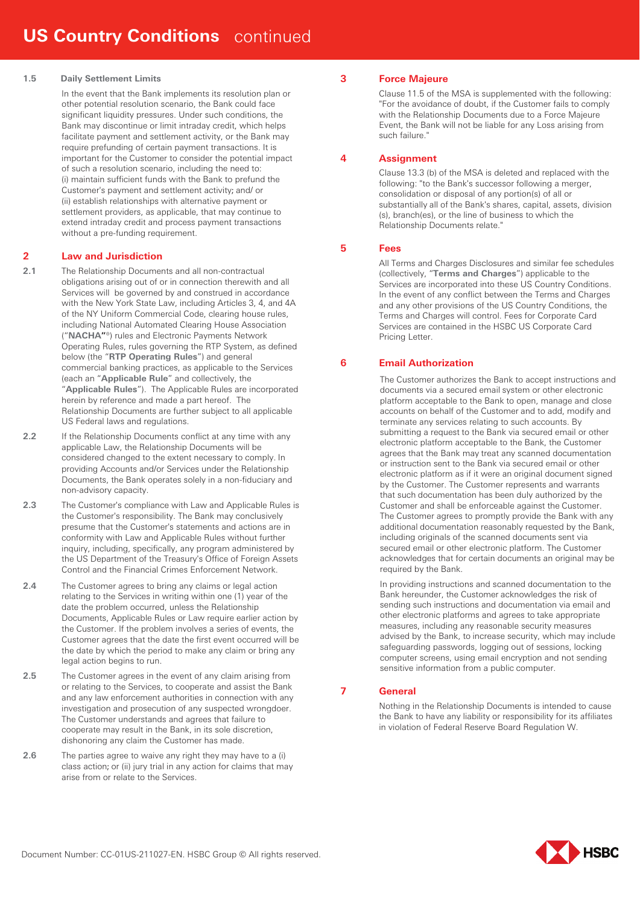## **1.5 Daily Settlement Limits**

In the event that the Bank implements its resolution plan or other potential resolution scenario, the Bank could face significant liquidity pressures. Under such conditions, the Bank may discontinue or limit intraday credit, which helps facilitate payment and settlement activity, or the Bank may require prefunding of certain payment transactions. It is important for the Customer to consider the potential impact of such a resolution scenario, including the need to: (i) maintain sufficient funds with the Bank to prefund the Customer's payment and settlement activity; and/ or (ii) establish relationships with alternative payment or settlement providers, as applicable, that may continue to extend intraday credit and process payment transactions without a pre-funding requirement.

# **2 Law and Jurisdiction**

- **2.1** The Relationship Documents and all non-contractual obligations arising out of or in connection therewith and all Services will be governed by and construed in accordance with the New York State Law, including Articles 3, 4, and 4A of the NY Uniform Commercial Code, clearing house rules, including National Automated Clearing House Association ("**NACHA"**®) rules and Electronic Payments Network Operating Rules, rules governing the RTP System, as defined below (the "**RTP Operating Rules**") and general commercial banking practices, as applicable to the Services (each an "**Applicable Rule**" and collectively, the "**Applicable Rules**"). The Applicable Rules are incorporated herein by reference and made a part hereof. The Relationship Documents are further subject to all applicable US Federal laws and regulations.
- **2.2** If the Relationship Documents conflict at any time with any applicable Law, the Relationship Documents will be considered changed to the extent necessary to comply. In providing Accounts and/or Services under the Relationship Documents, the Bank operates solely in a non-fiduciary and non-advisory capacity.
- **2.3** The Customer's compliance with Law and Applicable Rules is the Customer's responsibility. The Bank may conclusively presume that the Customer's statements and actions are in conformity with Law and Applicable Rules without further inquiry, including, specifically, any program administered by the US Department of the Treasury's Office of Foreign Assets Control and the Financial Crimes Enforcement Network.
- **2.4** The Customer agrees to bring any claims or legal action relating to the Services in writing within one (1) year of the date the problem occurred, unless the Relationship Documents, Applicable Rules or Law require earlier action by the Customer. If the problem involves a series of events, the Customer agrees that the date the first event occurred will be the date by which the period to make any claim or bring any legal action begins to run.
- **2.5** The Customer agrees in the event of any claim arising from or relating to the Services, to cooperate and assist the Bank and any law enforcement authorities in connection with any investigation and prosecution of any suspected wrongdoer. The Customer understands and agrees that failure to cooperate may result in the Bank, in its sole discretion, dishonoring any claim the Customer has made.
- **2.6** The parties agree to waive any right they may have to a (i) class action; or (ii) jury trial in any action for claims that may arise from or relate to the Services.

# **3 Force Majeure**

Clause 11.5 of the MSA is supplemented with the following: "For the avoidance of doubt, if the Customer fails to comply with the Relationship Documents due to a Force Majeure Event, the Bank will not be liable for any Loss arising from such failure."

# **4 Assignment**

Clause 13.3 (b) of the MSA is deleted and replaced with the following: "to the Bank's successor following a merger, consolidation or disposal of any portion(s) of all or substantially all of the Bank's shares, capital, assets, division (s), branch(es), or the line of business to which the Relationship Documents relate."

# **5 Fees**

All Terms and Charges Disclosures and similar fee schedules (collectively, "**Terms and Charges**") applicable to the Services are incorporated into these US Country Conditions. In the event of any conflict between the Terms and Charges and any other provisions of the US Country Conditions, the Terms and Charges will control. Fees for Corporate Card Services are contained in the HSBC US Corporate Card Pricing Letter.

# **6 Email Authorization**

The Customer authorizes the Bank to accept instructions and documents via a secured email system or other electronic platform acceptable to the Bank to open, manage and close accounts on behalf of the Customer and to add, modify and terminate any services relating to such accounts. By submitting a request to the Bank via secured email or other electronic platform acceptable to the Bank, the Customer agrees that the Bank may treat any scanned documentation or instruction sent to the Bank via secured email or other electronic platform as if it were an original document signed by the Customer. The Customer represents and warrants that such documentation has been duly authorized by the Customer and shall be enforceable against the Customer. The Customer agrees to promptly provide the Bank with any additional documentation reasonably requested by the Bank, including originals of the scanned documents sent via secured email or other electronic platform. The Customer acknowledges that for certain documents an original may be required by the Bank.

In providing instructions and scanned documentation to the Bank hereunder, the Customer acknowledges the risk of sending such instructions and documentation via email and other electronic platforms and agrees to take appropriate measures, including any reasonable security measures advised by the Bank, to increase security, which may include safeguarding passwords, logging out of sessions, locking computer screens, using email encryption and not sending sensitive information from a public computer.

# **7 General**

Nothing in the Relationship Documents is intended to cause the Bank to have any liability or responsibility for its affiliates in violation of Federal Reserve Board Regulation W.

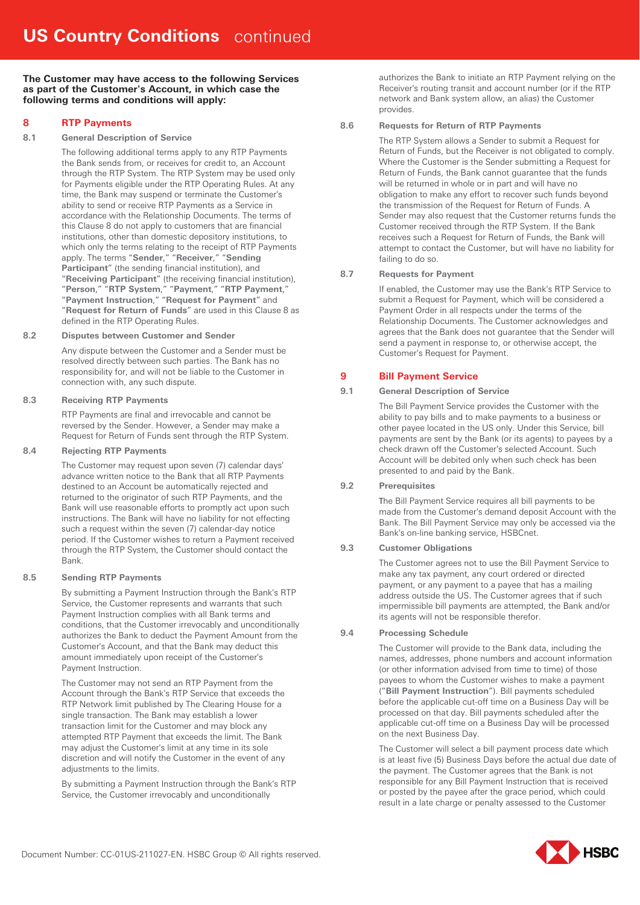**The Customer may have access to the following Services as part of the Customer's Account, in which case the following terms and conditions will apply:**

# **8 RTP Payments**

# **8.1 General Description of Service**

The following additional terms apply to any RTP Payments the Bank sends from, or receives for credit to, an Account through the RTP System. The RTP System may be used only for Payments eligible under the RTP Operating Rules. At any time, the Bank may suspend or terminate the Customer's ability to send or receive RTP Payments as a Service in accordance with the Relationship Documents. The terms of this Clause 8 do not apply to customers that are financial institutions, other than domestic depository institutions, to which only the terms relating to the receipt of RTP Payments apply. The terms "**Sender**," "**Receiver**," "**Sending Participant**" (the sending financial institution), and "**Receiving Participant**" (the receiving financial institution), "**Person**," "**RTP System**," "**Payment**," "**RTP Payment**," "**Payment Instruction**," "**Request for Payment**" and "**Request for Return of Funds**" are used in this Clause 8 as defined in the RTP Operating Rules.

## **8.2 Disputes between Customer and Sender**

Any dispute between the Customer and a Sender must be resolved directly between such parties. The Bank has no responsibility for, and will not be liable to the Customer in connection with, any such dispute.

## **8.3 Receiving RTP Payments**

RTP Payments are final and irrevocable and cannot be reversed by the Sender. However, a Sender may make a Request for Return of Funds sent through the RTP System.

## **8.4 Rejecting RTP Payments**

The Customer may request upon seven (7) calendar days' advance written notice to the Bank that all RTP Payments destined to an Account be automatically rejected and returned to the originator of such RTP Payments, and the Bank will use reasonable efforts to promptly act upon such instructions. The Bank will have no liability for not effecting such a request within the seven (7) calendar-day notice period. If the Customer wishes to return a Payment received through the RTP System, the Customer should contact the Bank.

# **8.5 Sending RTP Payments**

By submitting a Payment Instruction through the Bank's RTP Service, the Customer represents and warrants that such Payment Instruction complies with all Bank terms and conditions, that the Customer irrevocably and unconditionally authorizes the Bank to deduct the Payment Amount from the Customer's Account, and that the Bank may deduct this amount immediately upon receipt of the Customer's Payment Instruction.

The Customer may not send an RTP Payment from the Account through the Bank's RTP Service that exceeds the RTP Network limit published by The Clearing House for a single transaction. The Bank may establish a lower transaction limit for the Customer and may block any attempted RTP Payment that exceeds the limit. The Bank may adjust the Customer's limit at any time in its sole discretion and will notify the Customer in the event of any adjustments to the limits.

By submitting a Payment Instruction through the Bank's RTP Service, the Customer irrevocably and unconditionally

authorizes the Bank to initiate an RTP Payment relying on the Receiver's routing transit and account number (or if the RTP network and Bank system allow, an alias) the Customer provides.

# **8.6 Requests for Return of RTP Payments**

The RTP System allows a Sender to submit a Request for Return of Funds, but the Receiver is not obligated to comply. Where the Customer is the Sender submitting a Request for Return of Funds, the Bank cannot guarantee that the funds will be returned in whole or in part and will have no obligation to make any effort to recover such funds beyond the transmission of the Request for Return of Funds. A Sender may also request that the Customer returns funds the Customer received through the RTP System. If the Bank receives such a Request for Return of Funds, the Bank will attempt to contact the Customer, but will have no liability for failing to do so.

# **8.7 Requests for Payment**

If enabled, the Customer may use the Bank's RTP Service to submit a Request for Payment, which will be considered a Payment Order in all respects under the terms of the Relationship Documents. The Customer acknowledges and agrees that the Bank does not guarantee that the Sender will send a payment in response to, or otherwise accept, the Customer's Request for Payment.

# **9 Bill Payment Service**

# **9.1 General Description of Service**

The Bill Payment Service provides the Customer with the ability to pay bills and to make payments to a business or other payee located in the US only. Under this Service, bill payments are sent by the Bank (or its agents) to payees by a check drawn off the Customer's selected Account. Such Account will be debited only when such check has been presented to and paid by the Bank.

# **9.2 Prerequisites**

The Bill Payment Service requires all bill payments to be made from the Customer's demand deposit Account with the Bank. The Bill Payment Service may only be accessed via the Bank's on-line banking service, HSBCnet.

# **9.3 Customer Obligations**

The Customer agrees not to use the Bill Payment Service to make any tax payment, any court ordered or directed payment, or any payment to a payee that has a mailing address outside the US. The Customer agrees that if such impermissible bill payments are attempted, the Bank and/or its agents will not be responsible therefor.

# **9.4 Processing Schedule**

The Customer will provide to the Bank data, including the names, addresses, phone numbers and account information (or other information advised from time to time) of those payees to whom the Customer wishes to make a payment ("**Bill Payment Instruction**"). Bill payments scheduled before the applicable cut-off time on a Business Day will be processed on that day. Bill payments scheduled after the applicable cut-off time on a Business Day will be processed on the next Business Day.

The Customer will select a bill payment process date which is at least five (5) Business Days before the actual due date of the payment. The Customer agrees that the Bank is not responsible for any Bill Payment Instruction that is received or posted by the payee after the grace period, which could result in a late charge or penalty assessed to the Customer

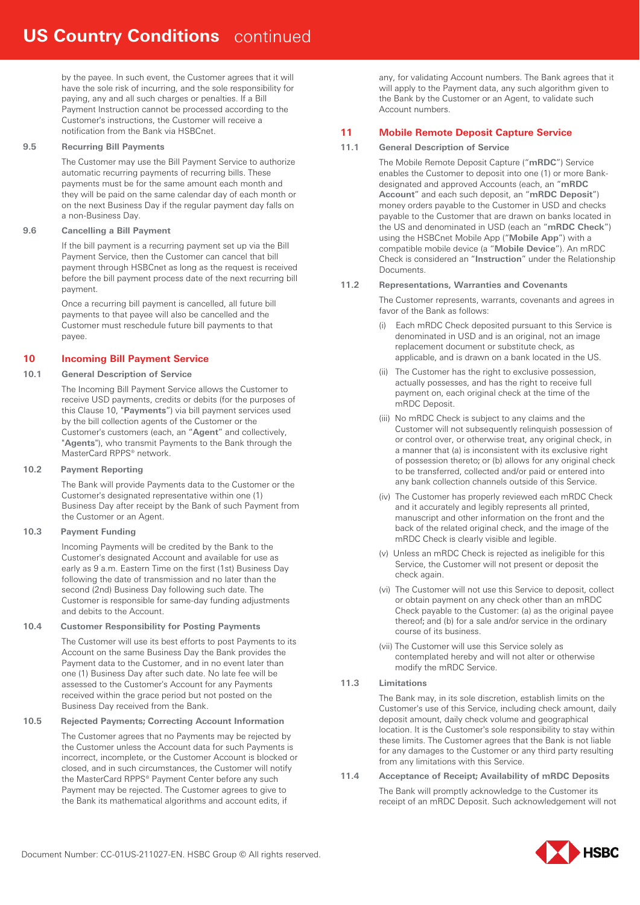by the payee. In such event, the Customer agrees that it will have the sole risk of incurring, and the sole responsibility for paying, any and all such charges or penalties. If a Bill Payment Instruction cannot be processed according to the Customer's instructions, the Customer will receive a notification from the Bank via HSBCnet.

## **9.5 Recurring Bill Payments**

The Customer may use the Bill Payment Service to authorize automatic recurring payments of recurring bills. These payments must be for the same amount each month and they will be paid on the same calendar day of each month or on the next Business Day if the regular payment day falls on a non-Business Day.

# **9.6 Cancelling a Bill Payment**

If the bill payment is a recurring payment set up via the Bill Payment Service, then the Customer can cancel that bill payment through HSBCnet as long as the request is received before the bill payment process date of the next recurring bill payment.

Once a recurring bill payment is cancelled, all future bill payments to that payee will also be cancelled and the Customer must reschedule future bill payments to that payee.

# **10 Incoming Bill Payment Service**

## **10.1 General Description of Service**

The Incoming Bill Payment Service allows the Customer to receive USD payments, credits or debits (for the purposes of this Clause 10, "**Payments**") via bill payment services used by the bill collection agents of the Customer or the Customer's customers (each, an "**Agent**" and collectively, "**Agents**"), who transmit Payments to the Bank through the MasterCard RPPS® network.

## **10.2 Payment Reporting**

The Bank will provide Payments data to the Customer or the Customer's designated representative within one (1) Business Day after receipt by the Bank of such Payment from the Customer or an Agent.

# **10.3 Payment Funding**

Incoming Payments will be credited by the Bank to the Customer's designated Account and available for use as early as 9 a.m. Eastern Time on the first (1st) Business Day following the date of transmission and no later than the second (2nd) Business Day following such date. The Customer is responsible for same-day funding adjustments and debits to the Account.

## **10.4 Customer Responsibility for Posting Payments**

The Customer will use its best efforts to post Payments to its Account on the same Business Day the Bank provides the Payment data to the Customer, and in no event later than one (1) Business Day after such date. No late fee will be assessed to the Customer's Account for any Payments received within the grace period but not posted on the Business Day received from the Bank.

#### **10.5 Rejected Payments; Correcting Account Information**

The Customer agrees that no Payments may be rejected by the Customer unless the Account data for such Payments is incorrect, incomplete, or the Customer Account is blocked or closed, and in such circumstances, the Customer will notify the MasterCard RPPS® Payment Center before any such Payment may be rejected. The Customer agrees to give to the Bank its mathematical algorithms and account edits, if

any, for validating Account numbers. The Bank agrees that it will apply to the Payment data, any such algorithm given to the Bank by the Customer or an Agent, to validate such Account numbers.

# **11 Mobile Remote Deposit Capture Service**

# **11.1 General Description of Service**

The Mobile Remote Deposit Capture ("**mRDC**") Service enables the Customer to deposit into one (1) or more Bankdesignated and approved Accounts (each, an "**mRDC Account**" and each such deposit, an "**mRDC Deposit**") money orders payable to the Customer in USD and checks payable to the Customer that are drawn on banks located in the US and denominated in USD (each an "**mRDC Check**") using the HSBCnet Mobile App ("**Mobile App**") with a compatible mobile device (a "**Mobile Device**"). An mRDC Check is considered an "**Instruction**" under the Relationship **Documents** 

# **11.2 Representations, Warranties and Covenants**

The Customer represents, warrants, covenants and agrees in favor of the Bank as follows:

- Each mRDC Check deposited pursuant to this Service is denominated in USD and is an original, not an image replacement document or substitute check, as applicable, and is drawn on a bank located in the US.
- (ii) The Customer has the right to exclusive possession, actually possesses, and has the right to receive full payment on, each original check at the time of the mRDC Deposit.
- (iii) No mRDC Check is subject to any claims and the Customer will not subsequently relinquish possession of or control over, or otherwise treat, any original check, in a manner that (a) is inconsistent with its exclusive right of possession thereto; or (b) allows for any original check to be transferred, collected and/or paid or entered into any bank collection channels outside of this Service.
- (iv) The Customer has properly reviewed each mRDC Check and it accurately and legibly represents all printed, manuscript and other information on the front and the back of the related original check, and the image of the mRDC Check is clearly visible and legible.
- (v) Unless an mRDC Check is rejected as ineligible for this Service, the Customer will not present or deposit the check again.
- (vi) The Customer will not use this Service to deposit, collect or obtain payment on any check other than an mRDC Check payable to the Customer: (a) as the original payee thereof; and (b) for a sale and/or service in the ordinary course of its business.
- (vii) The Customer will use this Service solely as contemplated hereby and will not alter or otherwise modify the mRDC Service.

## **11.3 Limitations**

The Bank may, in its sole discretion, establish limits on the Customer's use of this Service, including check amount, daily deposit amount, daily check volume and geographical location. It is the Customer's sole responsibility to stay within these limits. The Customer agrees that the Bank is not liable for any damages to the Customer or any third party resulting from any limitations with this Service.

**11.4 Acceptance of Receipt; Availability of mRDC Deposits** 

The Bank will promptly acknowledge to the Customer its receipt of an mRDC Deposit. Such acknowledgement will not

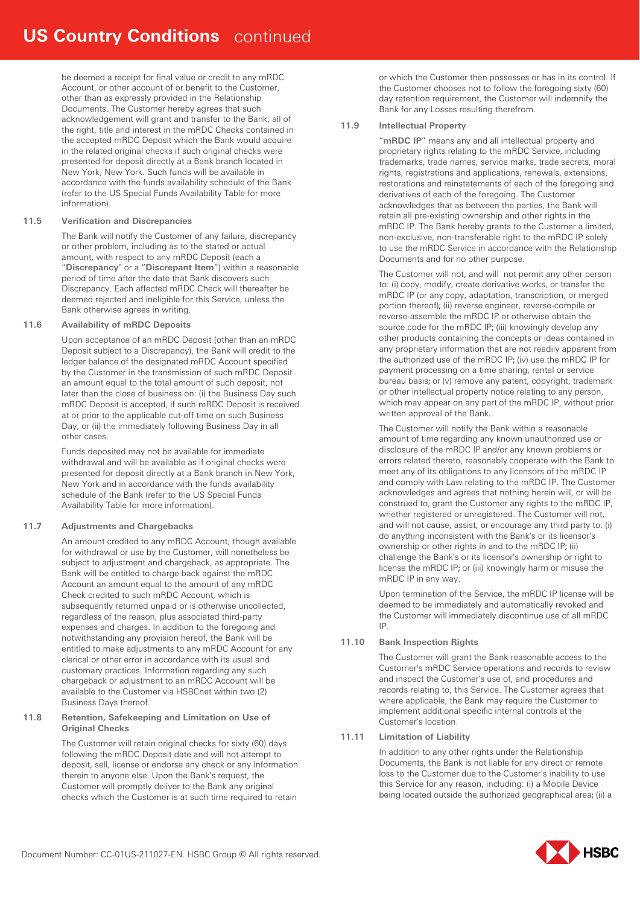be deemed a receipt for final value or credit to any mRDC Account, or other account of or benefit to the Customer, other than as expressly provided in the Relationship Documents. The Customer hereby agrees that such acknowledgement will grant and transfer to the Bank, all of the right, title and interest in the mRDC Checks contained in the accepted mRDC Deposit which the Bank would acquire in the related original checks if such original checks were presented for deposit directly at a Bank branch located in New York, New York. Such funds will be available in accordance with the funds availability schedule of the Bank (refer to the US Special Funds Availability Table for more information).

## **11.5 Verification and Discrepancies**

The Bank will notify the Customer of any failure, discrepancy or other problem, including as to the stated or actual amount, with respect to any mRDC Deposit (each a "**Discrepancy**" or a "**Discrepant Item**") within a reasonable period of time after the date that Bank discovers such Discrepancy. Each affected mRDC Check will thereafter be deemed rejected and ineligible for this Service, unless the Bank otherwise agrees in writing.

## **11.6 Availability of mRDC Deposits**

Upon acceptance of an mRDC Deposit (other than an mRDC Deposit subject to a Discrepancy), the Bank will credit to the ledger balance of the designated mRDC Account specified by the Customer in the transmission of such mRDC Deposit an amount equal to the total amount of such deposit, not later than the close of business on: (i) the Business Day such mRDC Deposit is accepted, if such mRDC Deposit is received at or prior to the applicable cut-off time on such Business Day, or (ii) the immediately following Business Day in all other cases.

Funds deposited may not be available for immediate withdrawal and will be available as if original checks were presented for deposit directly at a Bank branch in New York, New York and in accordance with the funds availability schedule of the Bank (refer to the US Special Funds Availability Table for more information).

# **11.7 Adjustments and Chargebacks**

An amount credited to any mRDC Account, though available for withdrawal or use by the Customer, will nonetheless be subject to adjustment and chargeback, as appropriate. The Bank will be entitled to charge back against the mRDC Account an amount equal to the amount of any mRDC Check credited to such mRDC Account, which is subsequently returned unpaid or is otherwise uncollected, regardless of the reason, plus associated third-party expenses and charges. In addition to the foregoing and notwithstanding any provision hereof, the Bank will be entitled to make adjustments to any mRDC Account for any clerical or other error in accordance with its usual and customary practices. Information regarding any such chargeback or adjustment to an mRDC Account will be available to the Customer via HSBCnet within two (2) Business Days thereof.

## **11.8 Retention, Safekeeping and Limitation on Use of Original Checks**

The Customer will retain original checks for sixty (60) days following the mRDC Deposit date and will not attempt to deposit, sell, license or endorse any check or any information therein to anyone else. Upon the Bank's request, the Customer will promptly deliver to the Bank any original checks which the Customer is at such time required to retain

or which the Customer then possesses or has in its control. If the Customer chooses not to follow the foregoing sixty (60) day retention requirement, the Customer will indemnify the Bank for any Losses resulting therefrom.

## **11.9 Intellectual Property**

"**mRDC IP**" means any and all intellectual property and proprietary rights relating to the mRDC Service, including trademarks, trade names, service marks, trade secrets, moral rights, registrations and applications, renewals, extensions, restorations and reinstatements of each of the foregoing and derivatives of each of the foregoing. The Customer acknowledges that as between the parties, the Bank will retain all pre-existing ownership and other rights in the mRDC IP. The Bank hereby grants to the Customer a limited, non-exclusive, non-transferable right to the mRDC IP solely to use the mRDC Service in accordance with the Relationship Documents and for no other purpose.

The Customer will not, and will not permit any other person to: (i) copy, modify, create derivative works, or transfer the mRDC IP (or any copy, adaptation, transcription, or merged portion thereof); (ii) reverse engineer, reverse-compile or reverse-assemble the mRDC IP or otherwise obtain the source code for the mRDC IP; (iii) knowingly develop any other products containing the concepts or ideas contained in any proprietary information that are not readily apparent from the authorized use of the mRDC IP; (iv) use the mRDC IP for payment processing on a time sharing, rental or service bureau basis; or (v) remove any patent, copyright, trademark or other intellectual property notice relating to any person, which may appear on any part of the mRDC IP, without prior written approval of the Bank.

The Customer will notify the Bank within a reasonable amount of time regarding any known unauthorized use or disclosure of the mRDC IP and/or any known problems or errors related thereto, reasonably cooperate with the Bank to meet any of its obligations to any licensors of the mRDC IP and comply with Law relating to the mRDC IP. The Customer acknowledges and agrees that nothing herein will, or will be construed to, grant the Customer any rights to the mRDC IP, whether registered or unregistered. The Customer will not, and will not cause, assist, or encourage any third party to: (i) do anything inconsistent with the Bank's or its licensor's ownership or other rights in and to the mRDC IP; (ii) challenge the Bank's or its licensor's ownership or right to license the mRDC IP; or (iii) knowingly harm or misuse the mRDC IP in any way.

Upon termination of the Service, the mRDC IP license will be deemed to be immediately and automatically revoked and the Customer will immediately discontinue use of all mRDC IP.

# **11.10 Bank Inspection Rights**

The Customer will grant the Bank reasonable access to the Customer's mRDC Service operations and records to review and inspect the Customer's use of, and procedures and records relating to, this Service. The Customer agrees that where applicable, the Bank may require the Customer to implement additional specific internal controls at the Customer's location.

## **11.11 Limitation of Liability**

In addition to any other rights under the Relationship Documents, the Bank is not liable for any direct or remote loss to the Customer due to the Customer's inability to use this Service for any reason, including: (i) a Mobile Device being located outside the authorized geographical area; (ii) a

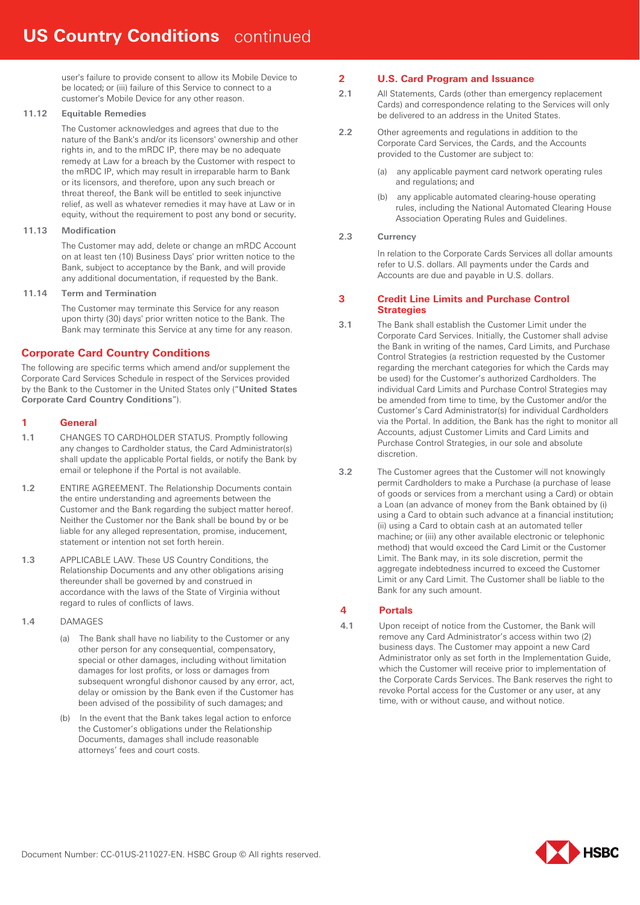user's failure to provide consent to allow its Mobile Device to be located; or (iii) failure of this Service to connect to a customer's Mobile Device for any other reason.

# **11.12 Equitable Remedies**

The Customer acknowledges and agrees that due to the nature of the Bank's and/or its licensors' ownership and other rights in, and to the mRDC IP, there may be no adequate remedy at Law for a breach by the Customer with respect to the mRDC IP, which may result in irreparable harm to Bank or its licensors, and therefore, upon any such breach or threat thereof, the Bank will be entitled to seek injunctive relief, as well as whatever remedies it may have at Law or in equity, without the requirement to post any bond or security.

# **11.13 Modification**

The Customer may add, delete or change an mRDC Account on at least ten (10) Business Days' prior written notice to the Bank, subject to acceptance by the Bank, and will provide any additional documentation, if requested by the Bank.

## **11.14 Term and Termination**

The Customer may terminate this Service for any reason upon thirty (30) days' prior written notice to the Bank. The Bank may terminate this Service at any time for any reason.

# **Corporate Card Country Conditions**

The following are specific terms which amend and/or supplement the Corporate Card Services Schedule in respect of the Services provided by the Bank to the Customer in the United States only ("**United States Corporate Card Country Conditions**").

# **1 General**

- **1.1** CHANGES TO CARDHOLDER STATUS. Promptly following any changes to Cardholder status, the Card Administrator(s) shall update the applicable Portal fields, or notify the Bank by email or telephone if the Portal is not available.
- **1.2** ENTIRE AGREEMENT. The Relationship Documents contain the entire understanding and agreements between the Customer and the Bank regarding the subject matter hereof. Neither the Customer nor the Bank shall be bound by or be liable for any alleged representation, promise, inducement, statement or intention not set forth herein.
- **1.3** APPLICABLE LAW. These US Country Conditions, the Relationship Documents and any other obligations arising thereunder shall be governed by and construed in accordance with the laws of the State of Virginia without regard to rules of conflicts of laws.
- **1.4** DAMAGES
	- (a) The Bank shall have no liability to the Customer or any other person for any consequential, compensatory, special or other damages, including without limitation damages for lost profits, or loss or damages from subsequent wrongful dishonor caused by any error, act, delay or omission by the Bank even if the Customer has been advised of the possibility of such damages; and
	- (b) In the event that the Bank takes legal action to enforce the Customer's obligations under the Relationship Documents, damages shall include reasonable attorneys' fees and court costs.

# **2 U.S. Card Program and Issuance**

- **2.1** All Statements, Cards (other than emergency replacement Cards) and correspondence relating to the Services will only be delivered to an address in the United States.
- **2.2** Other agreements and regulations in addition to the Corporate Card Services, the Cards, and the Accounts provided to the Customer are subject to:
	- (a) any applicable payment card network operating rules and regulations; and
	- (b) any applicable automated clearing-house operating rules, including the National Automated Clearing House Association Operating Rules and Guidelines.

# **2.3 Currency**

In relation to the Corporate Cards Services all dollar amounts refer to U.S. dollars. All payments under the Cards and Accounts are due and payable in U.S. dollars.

# **3 Credit Line Limits and Purchase Control Strategies**

- **3.1** The Bank shall establish the Customer Limit under the Corporate Card Services. Initially, the Customer shall advise the Bank in writing of the names, Card Limits, and Purchase Control Strategies (a restriction requested by the Customer regarding the merchant categories for which the Cards may be used) for the Customer's authorized Cardholders. The individual Card Limits and Purchase Control Strategies may be amended from time to time, by the Customer and/or the Customer's Card Administrator(s) for individual Cardholders via the Portal. In addition, the Bank has the right to monitor all Accounts, adjust Customer Limits and Card Limits and Purchase Control Strategies, in our sole and absolute discretion.
- **3.2** The Customer agrees that the Customer will not knowingly permit Cardholders to make a Purchase (a purchase of lease of goods or services from a merchant using a Card) or obtain a Loan (an advance of money from the Bank obtained by (i) using a Card to obtain such advance at a financial institution; (ii) using a Card to obtain cash at an automated teller machine; or (iii) any other available electronic or telephonic method) that would exceed the Card Limit or the Customer Limit. The Bank may, in its sole discretion, permit the aggregate indebtedness incurred to exceed the Customer Limit or any Card Limit. The Customer shall be liable to the Bank for any such amount.

# **4 Portals**

**4.1** Upon receipt of notice from the Customer, the Bank will remove any Card Administrator's access within two (2) business days. The Customer may appoint a new Card Administrator only as set forth in the Implementation Guide, which the Customer will receive prior to implementation of the Corporate Cards Services. The Bank reserves the right to revoke Portal access for the Customer or any user, at any time, with or without cause, and without notice.